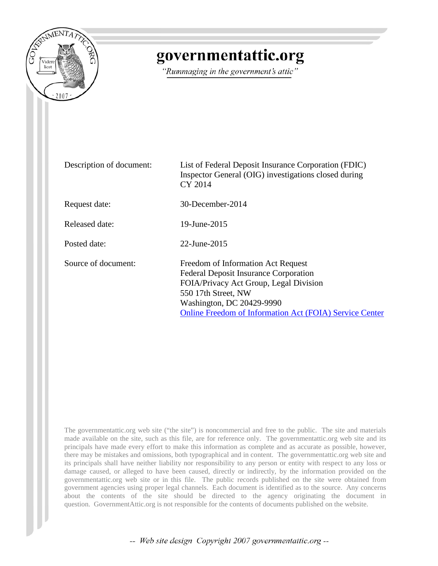

## governmentattic.org

"Rummaging in the government's attic"

| Description of document: | List of Federal Deposit Insurance Corporation (FDIC)<br>Inspector General (OIG) investigations closed during<br>CY 2014                                                                                                                            |
|--------------------------|----------------------------------------------------------------------------------------------------------------------------------------------------------------------------------------------------------------------------------------------------|
| Request date:            | 30-December-2014                                                                                                                                                                                                                                   |
| Released date:           | 19-June-2015                                                                                                                                                                                                                                       |
| Posted date:             | $22$ -June- $2015$                                                                                                                                                                                                                                 |
| Source of document:      | Freedom of Information Act Request<br><b>Federal Deposit Insurance Corporation</b><br>FOIA/Privacy Act Group, Legal Division<br>550 17th Street, NW<br>Washington, DC 20429-9990<br><b>Online Freedom of Information Act (FOIA) Service Center</b> |

The governmentattic.org web site ("the site") is noncommercial and free to the public. The site and materials made available on the site, such as this file, are for reference only. The governmentattic.org web site and its principals have made every effort to make this information as complete and as accurate as possible, however, there may be mistakes and omissions, both typographical and in content. The governmentattic.org web site and its principals shall have neither liability nor responsibility to any person or entity with respect to any loss or damage caused, or alleged to have been caused, directly or indirectly, by the information provided on the governmentattic.org web site or in this file. The public records published on the site were obtained from government agencies using proper legal channels. Each document is identified as to the source. Any concerns about the contents of the site should be directed to the agency originating the document in question. GovernmentAttic.org is not responsible for the contents of documents published on the website.

-- Web site design Copyright 2007 governmentattic.org --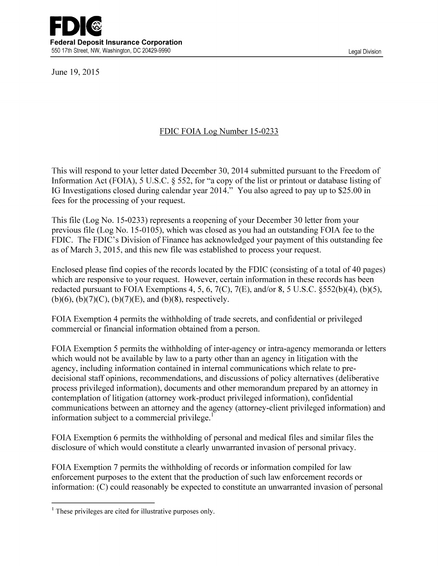

June 19, 2015

## FDIC FOIA Log Number 15-0233

This will respond to your letter dated December 30, 2014 submitted pursuant to the Freedom of Information Act (FOIA), 5 U.S.C. § 552, for "a copy of the list or printout or database listing of IG Investigations closed during calendar year 2014." You also agreed to pay up to \$25.00 in fees for the processing of your request.

This file (Log No. 15-0233) represents a reopening of your December 30 letter from your previous file (Log No. 15-0105), which was closed as you had an outstanding FOIA fee to the FDIC. The FDIC's Division of Finance has acknowledged your payment of this outstanding fee as of March 3, 2015, and this new file was established to process your request.

Enclosed please find copies of the records located by the FDIC (consisting of a total of 40 pages) which are responsive to your request. However, certain information in these records has been redacted pursuant to FOIA Exemptions 4, 5, 6, 7(C), 7(E), and/or 8, 5 U.S.C.  $\S 52(b)(4)$ , (b)(5), (b)(6), (b)(7)(C), (b)(7)(E), and (b)(8), respectively.

FOIA Exemption 4 permits the withholding of trade secrets, and confidential or privileged commercial or financial information obtained from a person.

FOIA Exemption 5 permits the withholding of inter-agency or intra-agency memoranda or letters which would not be available by law to a party other than an agency in litigation with the agency, including information contained in internal communications which relate to predecisional staff opinions, recommendations, and discussions of policy alternatives (deliberative process privileged information), documents and other memorandum prepared by an attorney in contemplation of litigation (attorney work-product privileged information), confidential communications between an attorney and the agency (attorney-client privileged information) and information subject to a commercial privilege. $<sup>1</sup>$ </sup>

FOIA Exemption 6 permits the withholding of personal and medical files and similar files the disclosure of which would constitute a clearly unwarranted invasion of personal privacy.

FOIA Exemption 7 permits the withholding of records or information compiled for law enforcement purposes to the extent that the production of such law enforcement records or information: (C) could reasonably be expected to constitute an unwarranted invasion of personal

 $<sup>1</sup>$  These privileges are cited for illustrative purposes only.</sup>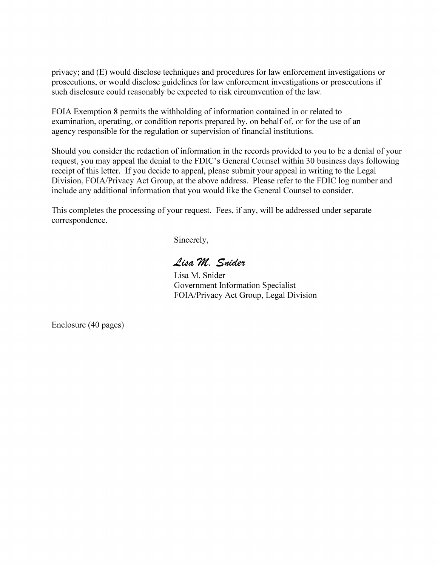privacy; and (E) would disclose techniques and procedures for law enforcement investigations or prosecutions, or would disclose guidelines for law enforcement investigations or prosecutions if such disclosure could reasonably be expected to risk circumvention of the law.

FOIA Exemption 8 permits the withholding of information contained in or related to examination, operating, or condition reports prepared by, on behalf of, or for the use of an agency responsible for the regulation or supervision of financial institutions.

Should you consider the redaction of information in the records provided to you to be a denial of your request, you may appeal the denial to the FDIC's General Counsel within 30 business days following receipt of this letter. If you decide to appeal, please submit your appeal in writing to the Legal Division, FOIA/Privacy Act Group, at the above address. Please refer to the FDIC log number and include any additional information that you would like the General Counsel to consider.

This completes the processing of your request. Fees, if any, will be addressed under separate correspondence.

Sincerely,

Lisa M. Snider

Lisa M. Snider Government Information Specialist FOIA/Privacy Act Group, Legal Division

Enclosure (40 pages)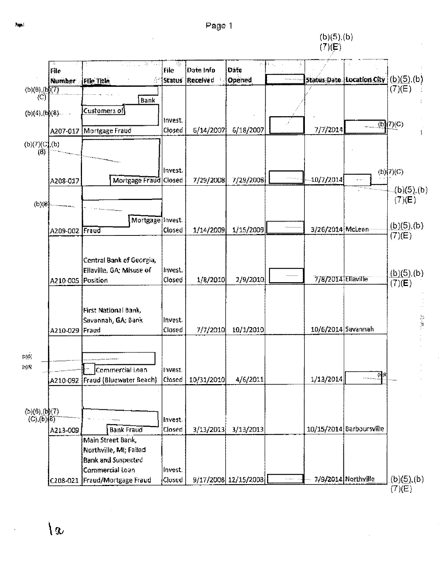## Page 1

 $(b)(5)(b)$  $(7)(E)$ 



۱a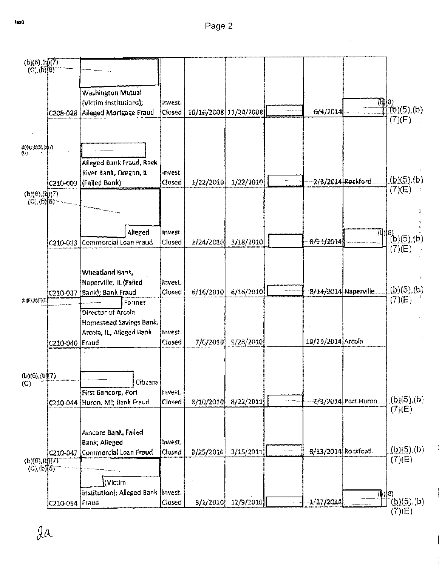l,

 $\hat{\mathcal{A}}$ 

| $(b)(6)$ $(b)(7)$<br>(C), (b)[8) |                |                                      |                   |           |                       |                      |                                  |                              |
|----------------------------------|----------------|--------------------------------------|-------------------|-----------|-----------------------|----------------------|----------------------------------|------------------------------|
|                                  |                | Washington Mutual                    |                   |           |                       |                      |                                  |                              |
|                                  |                | (Victim Institutions);               | Invest.           |           |                       |                      | $\langle \mathbf{d}   8 \rangle$ |                              |
|                                  | C208-028       | Alleged Mortgage Fraud               | Closed            |           | 10/16/2008 11/24/2008 | 6/4/2014             |                                  | $(16)(5)$ ,(b)               |
|                                  |                |                                      |                   |           |                       |                      |                                  | (7)(E)                       |
|                                  |                |                                      |                   |           |                       |                      |                                  |                              |
| (帧线函图,(b)(7)<br>€C)              |                |                                      |                   |           |                       |                      |                                  |                              |
|                                  |                | Alleged Bank Fraud, Rock             |                   |           |                       |                      |                                  |                              |
|                                  |                | River Bank, Oregon, iL               | invest.           |           |                       |                      |                                  |                              |
|                                  |                | C210-003 (Failed Bank)               | Closed            | 1/22/2010 | 1/22/2010             | 2/3/2014 Reckford    |                                  | $(b)(5)$ ,(b)                |
| (b)(6),(d)(7)                    |                |                                      |                   |           |                       |                      |                                  | (7)(E)                       |
| $(C)$ (6)[8)                     |                |                                      |                   |           |                       |                      |                                  |                              |
|                                  |                |                                      |                   |           |                       |                      |                                  |                              |
|                                  |                |                                      |                   |           |                       |                      |                                  |                              |
|                                  |                | Alleged<br>Commercial Loan Fraud     | invest.<br>Closed | 2/24/2010 | 3/18/2010             | 8/21/2014            |                                  | $\frac{1}{2}$ (b)(5),(b)     |
|                                  | C210-013       |                                      |                   |           |                       |                      |                                  | (7)(E)                       |
|                                  |                |                                      |                   |           |                       |                      |                                  |                              |
|                                  |                | Wheatland Bank,                      |                   |           |                       |                      |                                  |                              |
|                                  |                | Naperville, IL (Fafied               | Invest.           |           |                       |                      |                                  |                              |
|                                  |                | C210-037 JBank); Bank Fraud          | Closed            | 6/16/2010 | 6/16/2010             | 8/14/2014 Naperville |                                  | $\underline{(b)(5)}$ ,(b)    |
| (b)(6),(b)(7)(C)                 |                | Former                               |                   |           |                       |                      |                                  | (7)(E)                       |
|                                  |                | Director of Arcola                   |                   |           |                       |                      |                                  |                              |
|                                  |                | Homestead Savings Bank,              |                   |           |                       |                      |                                  |                              |
|                                  |                | Arcola, iL; Alleged Bank             | invest.           |           |                       |                      |                                  |                              |
|                                  | C210-040 Fraud |                                      | Closed            | 7/6/2010  | 9/28/2010             | 10/29/2014 Arcola    |                                  |                              |
|                                  |                |                                      |                   |           |                       |                      |                                  |                              |
|                                  |                |                                      |                   |           |                       |                      |                                  |                              |
| (b)(6),(b)(7)                    |                | <b>Citizens</b>                      |                   |           |                       |                      |                                  |                              |
| (C)                              |                | First Bancorp, Port                  | Invest.           |           |                       |                      |                                  |                              |
|                                  |                | C210-044 Huron, MI; Bank Fraud       | Closed            | 8/10/2010 | 8/22/2011             |                      | 2/3/2014 Port Huron              | <u>(b)(5)</u> ,(b)           |
|                                  |                |                                      |                   |           |                       |                      |                                  | (7)(E)                       |
|                                  |                |                                      |                   |           |                       |                      |                                  |                              |
|                                  |                | Amcore Bank, Failed                  |                   |           |                       |                      |                                  |                              |
|                                  |                | Bank; Alleged                        | Invest.           |           |                       |                      |                                  |                              |
|                                  |                | C210-047 Commercial Loan Fraud       | Closed            | 8/25/2010 | 3/15/2011             | 8/13/2014 Rockford   |                                  | (b)(5), (b)                  |
| (b)(6), (b)(7)                   |                |                                      |                   |           |                       |                      |                                  | (7)(E)                       |
| $(C)$ (b) $[8]$                  |                |                                      |                   |           |                       |                      |                                  |                              |
|                                  |                | ∦Victím                              |                   |           |                       |                      |                                  |                              |
|                                  |                | (Institution); Alleged Bank (Invest. |                   |           |                       |                      | (b)[8)                           |                              |
|                                  | C210-054 Fraud |                                      | Closed            | 9/1/2010  | 12/9/2010             | 1/27/2014            |                                  | <u>(b)(5)</u> ,(b)<br>(7)(E) |

 $2a$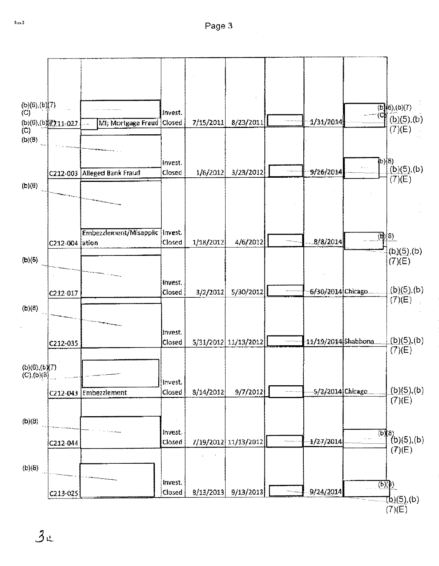

r---,-·--------,--~----~--~---.,.----~----~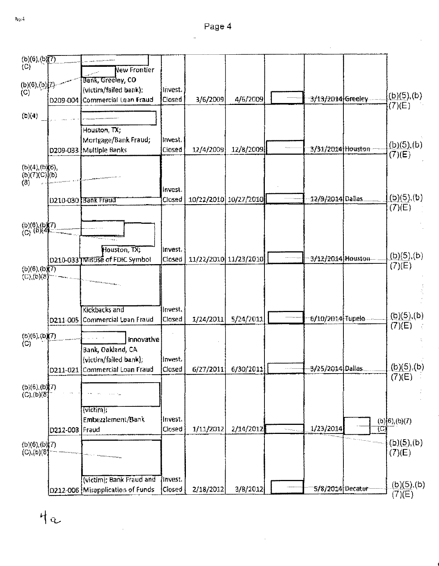$(b)(6)$ ,  $(b)(7)$  $(O)$ New Frontier Bank, Greeley, CO  $(b)(6), (b)[7]$ (victim/failed bank); lnvest.  $(C)$  $(b)(5),(b)$ 4/6/2009 3/13/2014 Greeley Commercias Loan Fraud Closed 3/6/2009 D209-004  $(7)(E)$  $(b)(4)$ Houston, TX; Mortgage/Bank Fraud: Invest.  $(b)(5),(b)$ 3/31/2014 Houston 12/8/2009 12/4/2009 D209-033 Multiple Banks Closed  $(7)(E)$  $(b)(4), (b)(6),$  $(b)(7)(C)(b)$  $(8)$ Invest.  $(b)(5),(b)$ Closed 10/22/2010 10/27/2010 ·12/9/2014 Dallas [D210-030 Bank Fraud  $(T)(E)$  $(6)(6),(b)(7)$ <br> $(C)$  (6)(4) Houston, TX; lnvest.  $(b)(5),(b)$ 3/12/2014 Houston 11/22/2010 11/23/2010 D210-033 TMEDSE of FDIC Symbol **Closed**  $(7)(E)$  $(b)(6),(b)$  $(C), (b)(8)$ **Kickbacks and** Invest.  $(b)(5)$ , (b) 6/10/2014 Tupelo 5/24/2011 D211-005 lCommercial Loan Fraud |Closed 1/24/2011  $(7)(E)$  $(b)(6),(b)(7)  
(C)$  $\hat{H}^{\pm}$  and  $\hat{H}^{\pm}$  and  $\hat{H}^{\pm}$ innovative Bank, Oakland, CA (victim/failed bank); **Invest.**  $(b)(5),(b)$ 3/25/2014 Dallas D211-021 Commercial Loan Fraud 6/30/2011 Closed 6/27/2011  $(7)(E)$  $(b)(6),(b)(7)$  $(C)$ <sub>(b)</sub> $(8)$ wictim); Embezzlement/Bank Invest.  $(b)$ <sup>[6</sup>),(b)(7) 1/23/2014 D212-003 Fraud Closed 1/11/2012 2/14/2012 i<br>Santa C ŢC)  $(b)(5),(b)$  $(b)(6),(b)(7)$  $(C), (b) (8)$  $(7)(E)$ (victim); Bank Fraud and |Invest.  $(b)(5)$ , (b) D212-006 Misapplication of Funds Closed 3/8/2012 5/8/2014 Decatur 2/18/2012  $(7)(E)$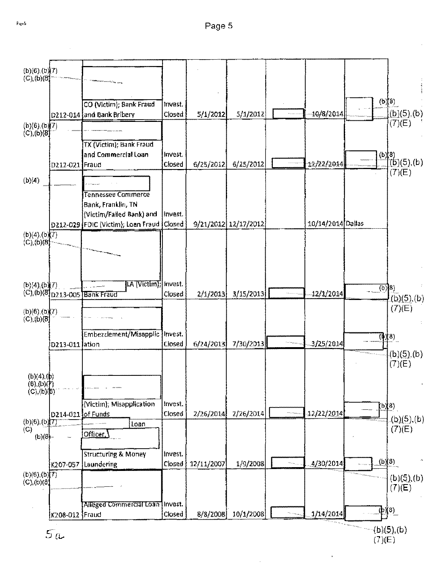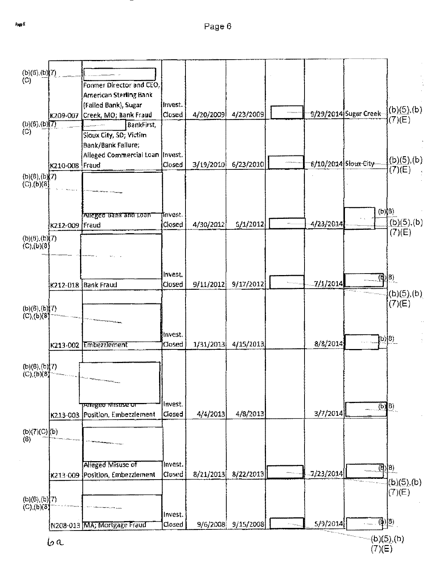| (b)(6),(b)(7)<br>(C)                      |                |                                                       |                   |           |           |                      |                            |                                                                               |
|-------------------------------------------|----------------|-------------------------------------------------------|-------------------|-----------|-----------|----------------------|----------------------------|-------------------------------------------------------------------------------|
|                                           |                | Former Director and CEO,                              |                   |           |           |                      |                            |                                                                               |
|                                           |                | <b>American Sterling Bank</b><br>(Falled Bank), Sugar | Invest.           |           |           |                      |                            |                                                                               |
|                                           |                | [K209-007  Creek, MO; Bank Fraud                      | Closed            | 4/20/2009 | 4/23/2009 |                      | 9/29/2014 Sugar Creek      | (b)(5),(b)                                                                    |
| (b)(6), (b)(7)<br>(C)                     |                | BankFirst,                                            |                   |           |           |                      |                            | (7)(E)                                                                        |
|                                           |                | Sioux City, SD; Victim                                |                   |           |           |                      |                            |                                                                               |
|                                           |                | Bank/Bank Fallure;                                    |                   |           |           |                      |                            |                                                                               |
|                                           | K210-008 Fraud | Alleged Commercial Loan   Invest.                     | Closed            | 3/19/2010 | 6/23/2010 | 6/10/2014 Sloux City |                            | $(b)(5)$ ,(b)                                                                 |
| $(b)(6)$ , $(b)$ $(7)$                    |                |                                                       |                   |           |           |                      |                            | (7)(E)                                                                        |
| $(C)$ (b)(8)                              |                |                                                       |                   |           |           |                      |                            |                                                                               |
|                                           |                |                                                       |                   |           |           |                      |                            |                                                                               |
|                                           |                |                                                       |                   |           |           |                      | $(b)$ $(8)$                |                                                                               |
|                                           |                | Alleged Bank and Loan                                 | invest.<br>Closed | 4/30/2012 | 5/1/2012  | 4/23/2014            |                            | $(b)(5)$ , (b)                                                                |
|                                           | K212-009 Fraud |                                                       |                   |           |           |                      |                            | (7)(E)                                                                        |
| (b)(6),(b)(7)<br>(C), (b)(8)              |                |                                                       |                   |           |           |                      |                            |                                                                               |
|                                           |                |                                                       |                   |           |           |                      |                            |                                                                               |
|                                           |                |                                                       |                   |           |           |                      |                            |                                                                               |
|                                           |                |                                                       | invest,           |           |           | 7/1/2014             | $\mathbb{Z}^{(8)}$         |                                                                               |
|                                           | K212-018       | <b>Bank Fraud</b>                                     | Closed            | 9/11/2012 | 9/17/2012 |                      |                            | (b)(5)(b)                                                                     |
|                                           |                |                                                       |                   |           |           |                      |                            | (7)(E)                                                                        |
| $(b)(6)$ , $(b)$ $(7)$<br>$(C)_{1}(b)(8)$ |                |                                                       |                   |           |           |                      |                            |                                                                               |
|                                           |                |                                                       |                   |           |           |                      |                            |                                                                               |
|                                           |                |                                                       | Invest.           |           |           |                      |                            | $\left[\mathbb{D}\right]\left[2\right]$                                       |
|                                           | K213-002       | Embezzlement                                          | Closed            | 1/31/2013 | 4/15/2013 | 8/8/2014             |                            |                                                                               |
|                                           |                |                                                       |                   |           |           |                      |                            |                                                                               |
| (b)(6), (b)(7)<br>(C), (b)(3)             |                |                                                       |                   |           |           |                      |                            |                                                                               |
|                                           |                |                                                       |                   |           |           |                      |                            |                                                                               |
|                                           |                |                                                       |                   |           |           |                      |                            |                                                                               |
|                                           |                | <b>Exteged tvitsuse of</b>                            | Invest,           |           |           | 3/7/2014             | $(b)$ $(b)$                |                                                                               |
|                                           | K213-003       | Position, Embezziement                                | Closed            | 4/4/2013  | 4/8/2013  |                      |                            |                                                                               |
| $(b)(7)(C)$ $(kb)$                        |                |                                                       |                   |           |           |                      |                            |                                                                               |
| (8)                                       |                |                                                       |                   |           |           |                      |                            |                                                                               |
|                                           |                |                                                       |                   |           |           |                      |                            |                                                                               |
|                                           |                | <b>Alleged Misuse of</b>                              | lnvest.           |           |           |                      |                            | $\mathbb{Z}$ $\mathbb{Z}$ $\mathbb{Z}$ $\mathbb{R}$ $\mathbb{Z}$ $\mathbb{Z}$ |
|                                           | K213-009       | Position, Embezziement                                | Closed            | 8/21/2013 | 8/22/2013 | 7/23/2014            |                            | $  (b) (\overline{5}), (b)  $                                                 |
|                                           |                |                                                       |                   |           |           |                      |                            | $(7)$ (E)                                                                     |
| (b)(6),(b)(7)<br>(C), (b)(3)              |                |                                                       |                   |           |           |                      |                            |                                                                               |
|                                           |                |                                                       | Invest.           |           |           |                      |                            |                                                                               |
|                                           |                | N208-013 MA; Mortgage Fraud                           | Closed            | 9/6/2008  | 9/15/2008 | 5/9/2014             | $\mathbb{Q}(\mathfrak{g})$ |                                                                               |
|                                           | 6a             |                                                       |                   |           |           |                      |                            | (b)(5)(b)                                                                     |
|                                           |                |                                                       |                   |           |           |                      | (7)(E)                     |                                                                               |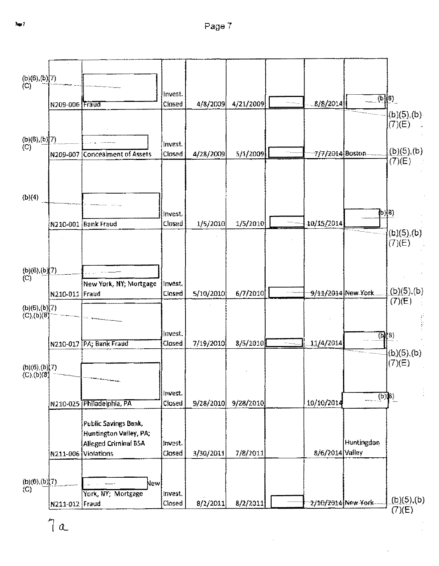

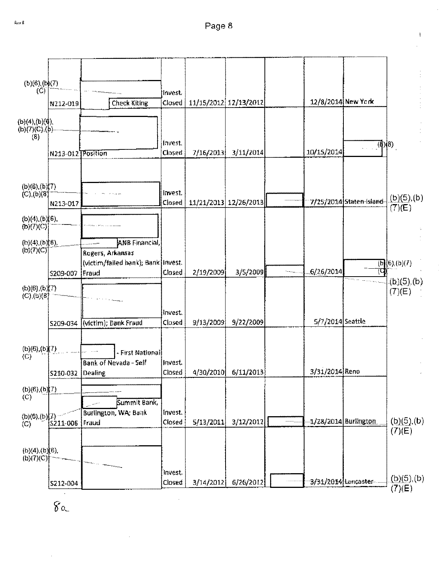Ĭ



 $\hat{g}_{\alpha}$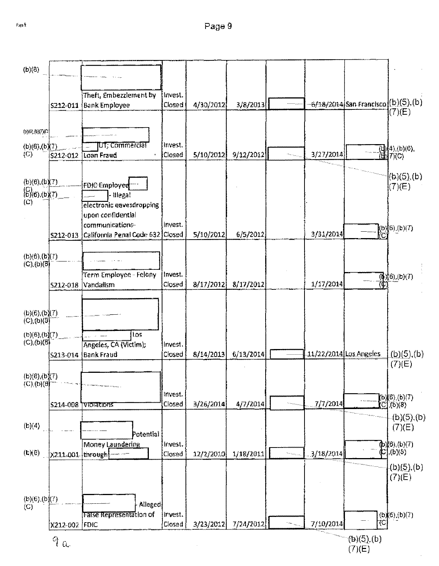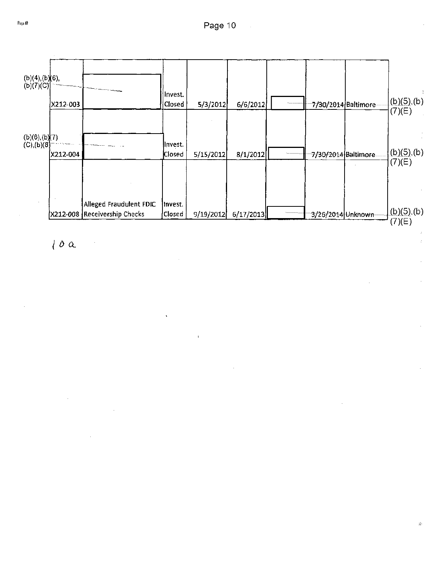

 $10\alpha$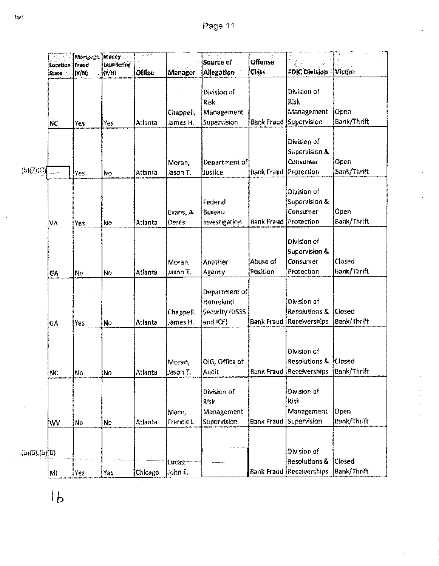|               | Location Fraud<br>State | Mortgage<br>(Y/N) | Money<br>Laundering<br>(Y/N) | Office  | Manager               | Saurce of<br><b>Allegation</b>                          | Offense<br><b>Class</b>      | <b>FDIC Division</b>                                                       | <b>Victim</b>         |
|---------------|-------------------------|-------------------|------------------------------|---------|-----------------------|---------------------------------------------------------|------------------------------|----------------------------------------------------------------------------|-----------------------|
|               | NC.                     | Yes               | Yes                          | Atlanta | Chappell,<br>James H. | Division of<br>Risk<br>Management<br>Supervision        |                              | Division of<br><b>Risk</b><br>Management<br>Bank Fraud Supervision         | Open<br>Bank/Thrift   |
| (b)(7)(C)     |                         | Yes               | No                           | Atlanta | Moran,<br>Jason T.    | Department of<br>Justice                                | <b>Bank Fraud Protection</b> | Division of<br><b>Supervision &amp;</b><br>Consumer                        | Open<br>Bank/Thrift   |
|               | VA                      | Yes               | No                           | Atlanta | Evans, A.<br>Derek    | Federal<br>Bureau<br>Investigation                      | Bank Fraud                   | Division of<br>Supervision &<br>Consumer<br>Protection                     | Open<br>Bank/Thrift   |
|               | GA                      | Np                | No                           | Atlanta | Moran,<br>Jason T.    | Another<br>Agency                                       | Abuse of<br>Position         | Division of<br>Supervision &<br>Consumer<br>Protection                     | Closed<br>Bank/Thrift |
|               | GA                      | Yes               | No                           | Atlanta | Chappell,<br>James H. | Department of<br>Homeland<br>Security (USSS<br>and ICE) |                              | Division of<br><b>Resolutions &amp;</b><br><b>Bank Fraud Receiverships</b> | Closed<br>Bank/Thrift |
|               | NС                      | No                | No                           | Atlanta | Moran,<br>Jason T.    | OIG, Office of<br>Audit                                 |                              | Division of<br>Resolutions &<br>Bank Fraud Receiverships   Bank/Thrift     | <b>Closed</b>         |
|               | WV                      | No                | No                           | Atlanta | Mace,<br>Francis L.   | Division of<br>Risk<br>Management<br>Supervision        | Bank Fraud                   | Division of<br>Risk<br>Management<br>Supervision                           | Open<br>Bank/Thrift   |
| (b)(5),(b)(8) | MÍ                      | iyes.             | Yes                          | Chicago | tucas;<br>Lohn E.     |                                                         |                              | Division of<br>Resolutions &<br><b>Bank Fraud Receiverships</b>            | Closed<br>Bank/Thrift |

 $1<sub>b</sub>$ 

l,

p<br>Espell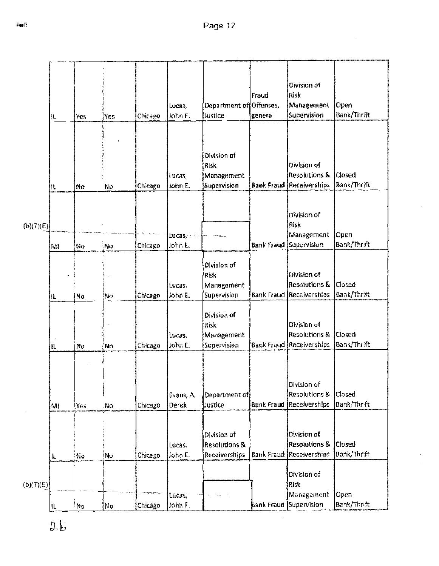$\hat{\mathcal{L}}$ 

|           | N.  | Yes   | Yes | Chicago | Locas,<br>John E.  | Department of Offenses,<br>Justice                       | Fraud<br>general  | Division of<br><b>Risk</b><br>Management<br>Supervision                    | Open<br>Bank/Thrift          |
|-----------|-----|-------|-----|---------|--------------------|----------------------------------------------------------|-------------------|----------------------------------------------------------------------------|------------------------------|
|           | IL  | No    | No. | Chicago | Lucas,<br>John E.  | Division of<br>Risk<br>Management<br>Supervision         |                   | Division of<br><b>Resolutions &amp;</b><br><b>Bank Fraud Receiverships</b> | Closed<br><b>Bank/Thrift</b> |
| (b)(7)(E) | MI  | No    | No  | Chicago | tucas,<br>John E.  |                                                          | <b>Bank Fraud</b> | Division of<br>Risk<br>Management<br>Supervision                           | Ореп<br>Bank/Thrift          |
|           | 11. | No    | No. | Chicago | Lucas,<br>John E.  | Division of<br>Risk<br>Management<br>Supervision         |                   | Division of<br><b>Resolutions &amp;</b><br><b>Bank Fraud Receiverships</b> | Closed<br>Bank/Thrift        |
|           | H.  | No    | No  | Chicago | lucas,<br>John E.  | Division of<br>Risk<br>Management<br>Supervision         |                   | Division of<br>Resolutions &<br><b>Bank Fraud {Receiverships</b>           | Closed<br>Bank/Thrift        |
|           | M   | lYes. | Nσ  | Chicago | Evans, A.<br>Derek | Department of<br>Justice                                 |                   | Division of<br><b>Resolutions &amp;</b><br><b>Bank Fraud Receiverships</b> | Closed<br>Bank/Thrift        |
|           | 11  | NΦ    | No  | Chicago | Lucas,<br>John E.  | Division of<br><b>Resolutions &amp;</b><br>Receiverships |                   | Division of<br><b>Resolutions &amp;</b><br>Bank Fraud Receiverships        | Closed<br>Bank/Thrift        |
| (b)(7)(E) |     |       |     |         | tucas,<br>John L.  |                                                          |                   | Division of<br>Risk<br>Management<br>Bank Fraud Supervision                | Open<br>Bank/Thrift          |
|           | IL. | No    | No  | Chicago |                    |                                                          |                   |                                                                            |                              |

 $\bar{\bar{z}}$ 

 $\frac{\hbar}{2}$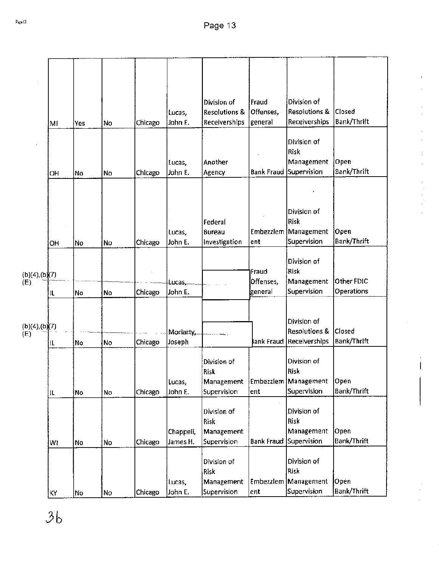|                      | MI  | Yes | No | Chicago | Lucas,<br>John E.     | Division of<br><b>Resolutions &amp;</b><br>Receiverships | Fraud<br>Offenses,<br>general | Division of<br>Resolutions &<br>Receiverships                | Closed<br>Bank/Thrift      |
|----------------------|-----|-----|----|---------|-----------------------|----------------------------------------------------------|-------------------------------|--------------------------------------------------------------|----------------------------|
|                      | OH  | No  | No | Chicago | Lucas,<br>John E.     | Another<br>Agency                                        | <b>Bank Fraud</b>             | Division of<br>Risk<br>Management<br>Supervision             | Open<br>Bank/Thrift        |
|                      | OН  | No  | No | Chicago | Lucas,<br>John E.     | Federal<br>Bureau<br>Investigation                       | lent                          | Division of<br>Risk<br>Embezzlem Management<br>Supervision   | Open<br>Bank/Thrift        |
| (b)(4),(b)(7)<br>(E) | IL  | No  | No | Chicago | Lucas,<br>John E.     |                                                          | Fraud<br>Offenses,<br>general | Division of<br>Risk<br>Management<br>Supervision             | Other FDIC<br>Operations   |
| (b)(4),(b)(7)<br>(E) | IL. | No  | No | Chicago | Moriarty,<br>Joseph   |                                                          | ank Fraud                     | Division of<br><b>Resolutions &amp;</b><br>Receiverships     | Closed<br>Bank/Thrift      |
|                      | IL. | No  | No | Chicago | Lucas,<br>John E.     | Division of<br><b>Risk</b><br>Management<br>Supervision  | ent                           | Division of<br>Risk<br>Embezzlem   Management<br>Supervision | Open<br><b>Bank/Thrift</b> |
|                      | WI  | No  | No | Chicago | Chappeli,<br>James H. | Division of<br><b>Risk</b><br>Management<br>Supervision  | <b>Bank Fraud</b>             | Division of<br>Risk<br>Management<br>Supervision             | Open<br>Bank/Thrift        |
|                      | KΥ  | No  | No | Chicago | Lucas,<br>John E.     | Division of<br>Risk<br>Management<br>Supervision         | <b>Embezzlem</b><br>ent       | Division of<br>Risk<br>Management<br>Supervision             | Open<br>Bank/Thrift        |
|                      |     |     |    |         |                       |                                                          |                               |                                                              |                            |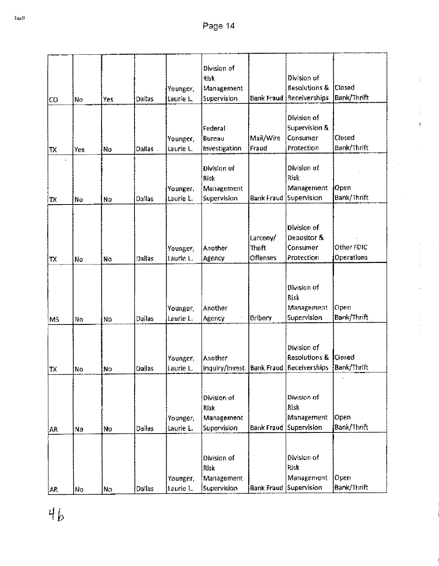|           |     |           |               |           | Division of                              |                   |                                      |                              |
|-----------|-----|-----------|---------------|-----------|------------------------------------------|-------------------|--------------------------------------|------------------------------|
|           |     |           |               |           | Risk                                     |                   | Division of                          |                              |
|           |     |           |               | Younger,  | Management                               |                   | Resolutions &                        | Closed<br><b>Bank/Thrift</b> |
| CO        | No  | Yes       | Dallas        | Laurie L  | Supervision                              | <b>Bank Fraud</b> | Receiverships                        |                              |
|           |     |           |               |           |                                          |                   | Division of                          |                              |
|           |     |           |               |           | Federal                                  |                   | Supervision &                        |                              |
|           |     |           |               | Younger,  | Витеаи                                   | Mail/Wire         | Consumer                             | Closed                       |
| <b>TX</b> | Yes | <b>No</b> | Dallas.       | Laurie L. | Investigation                            | Fraud             | Protection                           | Bank/Thrift                  |
|           |     |           |               |           |                                          |                   |                                      |                              |
|           |     |           |               |           | Division of                              |                   | Division of                          |                              |
|           |     |           |               |           | Risk                                     |                   | Risk                                 |                              |
|           |     |           |               | Younger,  | Management                               |                   | Management                           | Open                         |
| TX        | No  | No        | <b>Dallas</b> | Laurie L. | Supervision                              |                   | <b>Bank Fraud Supervision</b>        | Bank/Thrift                  |
|           |     |           |               |           |                                          |                   |                                      |                              |
|           |     |           |               |           |                                          |                   |                                      |                              |
|           |     |           |               |           |                                          |                   | Division of                          |                              |
|           |     |           |               |           |                                          | Larceny/          | Depositor &                          |                              |
|           |     |           |               | Younger,  | Another                                  | Theft             | Consumer                             | Other FDIC                   |
| TX        | No  | No        | Dallas        | Laurie L. | Agency                                   | <b>Offenses</b>   | Protection                           | Operations                   |
|           |     |           |               |           |                                          |                   |                                      |                              |
|           |     |           |               |           |                                          |                   | Division of                          |                              |
|           |     |           |               |           |                                          |                   | Risk                                 |                              |
|           |     |           |               | Younger,  | Another                                  |                   | Management                           | Open                         |
| M5        | No  | No        | Dallas        | Laurie I  | Agency                                   | Bribery           | <b>Supervision</b>                   | Bank/Thrift                  |
|           |     |           |               |           |                                          |                   |                                      |                              |
|           |     |           |               |           |                                          |                   |                                      |                              |
|           |     |           |               |           |                                          |                   | Division of                          |                              |
|           |     |           |               | Younger,  | Another                                  |                   | <b>Resolutions &amp;</b>             | <b>Closed</b>                |
| TX        | N٥  | No        | Dallas        | Laurie L. | Inquiry/Invest. Bank Fraud Receiverships |                   |                                      | Bank/Thrift                  |
|           |     |           |               |           |                                          |                   |                                      |                              |
|           |     |           |               |           |                                          |                   |                                      |                              |
|           |     |           |               |           | Division of                              |                   | Division of                          |                              |
|           |     |           |               |           | <b>Risk</b>                              |                   | Risk                                 |                              |
|           |     |           |               | Younger,  | Management                               |                   | Management                           | Open                         |
| AR        | No  | No        | <b>Dallas</b> | Laurie L. | <b>Supervision</b>                       | <b>Bank Fraud</b> | Supervision                          | Bank/Thrift                  |
|           |     |           |               |           |                                          |                   |                                      |                              |
|           |     |           |               |           |                                          |                   |                                      |                              |
|           |     |           |               |           | Division of                              |                   | Division of                          |                              |
|           |     |           |               |           | Risk                                     |                   | Risk                                 |                              |
|           |     |           |               | Younger,  | Management                               |                   | Management<br>Bank Fraud Supervision | Open<br><b>Bank/Thrift</b>   |
| AR        | No  | No        | Dallas        | Laurie L. | Supervision                              |                   |                                      |                              |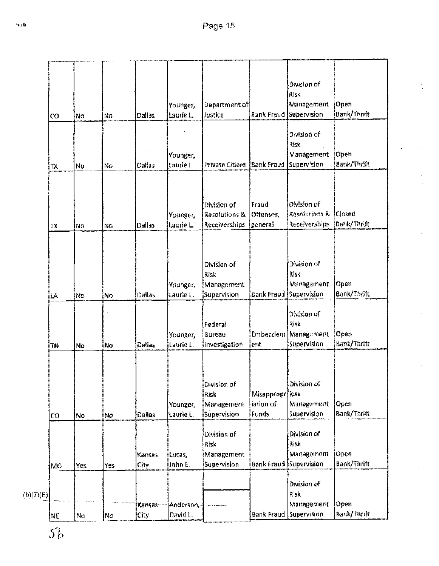|           |    |      |     |        |           |                            |                   | Division of                   |               |
|-----------|----|------|-----|--------|-----------|----------------------------|-------------------|-------------------------------|---------------|
|           |    |      |     |        |           |                            |                   | Risk                          |               |
|           |    |      |     |        | Younger,  | Department of              |                   | Management                    | Open          |
|           | CO | No   | No  | Dallas | Laurie L. | Justice                    | Bank Fraud        | Supervision                   | Bank/Thrift   |
|           |    |      |     |        |           |                            |                   |                               |               |
|           |    |      |     |        |           |                            |                   | Division of                   |               |
|           |    |      |     |        |           |                            |                   | Risk                          |               |
|           |    |      |     |        | Younger,  |                            |                   | Management                    | Open          |
|           | TХ | No   | No  | Dallas | Laurie L. | Private Citizen Bank Fraud |                   | Supervision                   | Bank/Thrift   |
|           |    |      |     |        |           |                            |                   |                               |               |
|           |    |      |     |        |           |                            |                   |                               |               |
|           |    |      |     |        |           | Division of                | Fraud             | Division of                   |               |
|           |    |      |     |        | Younger,  | <b>Resolutions &amp;</b>   | Offenses,         | Resolutions &                 | <b>Closed</b> |
|           | TX | No   | No  | Dallas | Laurie L. | Receiverships              | <u> general</u>   | Receiverships                 | Bank/Thrift   |
|           |    |      |     |        |           |                            |                   |                               |               |
|           |    |      |     |        |           |                            |                   |                               |               |
|           |    |      |     |        |           |                            |                   |                               |               |
|           |    |      |     |        |           | Division of                |                   | Division of                   |               |
|           |    |      |     |        |           | Risk                       |                   | Risk                          |               |
|           |    |      |     |        | Younger,  | Management                 |                   | Management                    | Open          |
|           | LĀ | ÌNo. | No. | Dailas | Laurie L. | Supervision                | <b>Bank Fraud</b> | Supervision                   | Bank/Thrift   |
|           |    |      |     |        |           |                            |                   |                               |               |
|           |    |      |     |        |           |                            |                   | Division of                   |               |
|           |    |      |     |        |           | Federal                    |                   | Risk                          |               |
|           |    |      |     |        | Younger,  | Bureau                     |                   | Embezzlem   Management        | Open          |
|           | TN | No   | No  | Dallas | Laurie L. | Investigation              | ent               | Supervision                   | Bank/Thrift   |
|           |    |      |     |        |           |                            |                   |                               |               |
|           |    |      |     |        |           |                            |                   |                               |               |
|           |    |      |     |        |           |                            |                   |                               |               |
|           |    |      |     |        |           | Division of                |                   | Division of                   |               |
|           |    |      |     |        |           | Risk                       | Misappropr Risk   |                               |               |
|           |    |      |     |        | Younger,  | Management                 | iation of         | Management                    | Open          |
|           | CO | No   | No. | Dallas | Laurie L. | <b>Supervision</b>         | Funds             | Supervision                   | Bank/Thrift   |
|           |    |      |     |        |           | Division of                |                   | Division of                   |               |
|           |    |      |     |        |           | Risk                       |                   | Risk                          |               |
|           |    |      |     | Kansas | Lucas,    | Management                 |                   | Management                    | Open          |
|           |    | Yes  | Yes | City   | John E.   | Supervision                |                   | <b>Bank Fraud Supervision</b> | Bank/Thrift   |
|           | MO |      |     |        |           |                            |                   |                               |               |
|           |    |      |     |        |           |                            |                   | Division of                   |               |
| (b)(7)(E) |    |      |     |        |           |                            |                   | Risk                          |               |
|           |    |      |     | Kansas | Anderson, |                            |                   | Management                    | Open          |
|           | NE | No   | No. | City.  | David L.  |                            |                   | Bank Fraud Supervision        | Bank/Thrift   |
|           |    |      |     |        |           |                            |                   |                               |               |

 $5\mathrm{b}$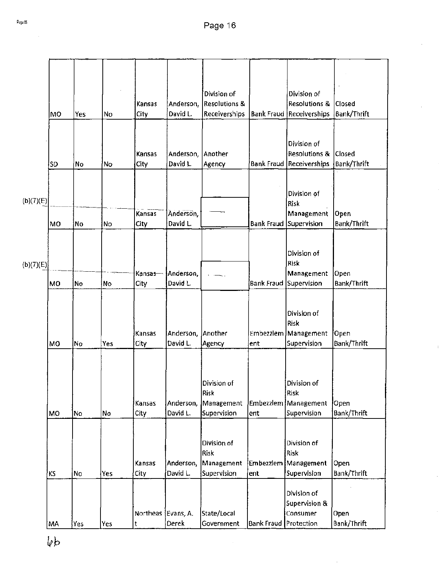|           |           |      |     |                    |           | Division of                |                   | Division of                             |                    |
|-----------|-----------|------|-----|--------------------|-----------|----------------------------|-------------------|-----------------------------------------|--------------------|
|           |           |      |     | Kansas             | Anderson, | <b>Resolutions &amp;</b>   |                   | <b>Resolutions &amp;</b>                | Closed             |
|           | <b>MO</b> | Yes  | No  | City               | David L.  | <b>Receiverships</b>       |                   | <b>Bank Fraud Receiverships</b>         | Bank/Thrift        |
|           |           |      |     |                    |           |                            |                   |                                         |                    |
|           |           |      |     |                    |           |                            |                   |                                         |                    |
|           |           |      |     | Kansas             | Anderson, | Another                    |                   | Division of<br><b>Resolutions &amp;</b> | Closed             |
|           | <b>SD</b> | No.  | 'No | City               | David L.  | Agency                     |                   | <b>Bank Fraud Receiverships</b>         | Bank/Thrift        |
|           |           |      |     |                    |           |                            |                   |                                         |                    |
|           |           |      |     |                    |           |                            |                   |                                         |                    |
|           |           |      |     |                    |           |                            |                   | Division of                             |                    |
| (b)(7)(E) |           |      |     |                    |           |                            |                   | Risk                                    |                    |
|           |           |      |     | Kansas             | Anderson, |                            |                   | Management                              | Open               |
|           | MO        | No   | No  | City               | David L.  |                            | <b>Bank Fraud</b> | Supervision                             | <b>Bank/Thrift</b> |
|           |           |      |     |                    |           |                            |                   |                                         |                    |
|           |           |      |     |                    |           |                            |                   |                                         |                    |
|           |           |      |     |                    |           |                            |                   | Division of<br>Risk                     |                    |
| (b)(7)(E) |           |      |     | Kansas-            | Anderson, |                            |                   | Management                              | Open               |
|           | <b>MO</b> | No   | No  | City               | David L.  |                            | Bank Fraud        | Supervision                             | Bank/Thrift        |
|           |           |      |     |                    |           |                            |                   |                                         |                    |
|           |           |      |     |                    |           |                            |                   |                                         |                    |
|           |           |      |     |                    |           |                            |                   | Division of                             |                    |
|           |           |      |     |                    |           |                            |                   | Risk                                    |                    |
|           |           |      |     | Kansas             | Anderson, | <b>Another</b>             | Embezzlem         | Management                              | Open               |
|           | MO        | No   | Yes | City               | David L.  | Agency                     | ent               | Supervision                             | Bank/Thrift        |
|           |           |      |     |                    |           |                            |                   |                                         |                    |
|           |           |      |     |                    |           |                            |                   |                                         |                    |
|           |           |      |     |                    |           |                            |                   |                                         |                    |
|           |           |      |     |                    |           | Division of<br><b>Risk</b> |                   | Division of<br>Risk                     |                    |
|           |           |      |     | Kansas             | Anderson, | Management                 |                   | Embezzlem Management                    | Open               |
|           | MO        | No   | No  | City               | David L.  | Supervision                | ent               | Supervision                             | Bank/Thrift        |
|           |           |      |     |                    |           |                            |                   |                                         |                    |
|           |           |      |     |                    |           |                            |                   |                                         |                    |
|           |           |      |     |                    |           | Division of                |                   | Division of                             |                    |
|           |           |      |     |                    |           | Risk                       |                   | Risk                                    |                    |
|           |           |      |     | Kansas             | Anderson, | Management                 |                   | Embezziem Management                    | Open               |
|           | ΚS        | No   | Yes | City               | David L.  | Supervision                | ent               | Supervision                             | Bank/Thrift        |
|           |           |      |     |                    |           |                            |                   |                                         |                    |
|           |           |      |     |                    |           |                            |                   | Division of                             |                    |
|           |           |      |     |                    |           |                            |                   | Supervision &                           |                    |
|           |           |      |     | Northeas Evans, A. |           | State/Local                |                   | Consumer                                | Open               |
|           | MA        | Yes] | Yes | t                  | Derek     | Government                 | <b>Bank Fraud</b> | Protection                              | Bank/Thrift        |

 $\ddot{\phantom{a}}$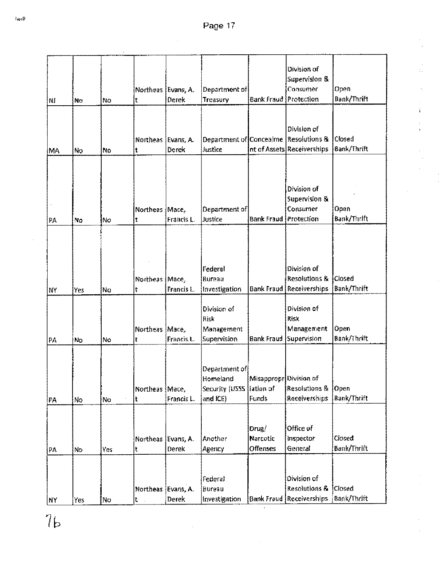| NI | Nσ  | No. | Northeas Evans, A.<br>t   | Derek               | Department of<br>Treasury                                   | Bank Fraud                                          | Division of<br>Supervision &<br>Consumer<br>Protection                 | Open<br>Bank/Thrift          |
|----|-----|-----|---------------------------|---------------------|-------------------------------------------------------------|-----------------------------------------------------|------------------------------------------------------------------------|------------------------------|
| MA | No  | No  | Northeas Evans, A.<br>t   | <b>Derek</b>        | Department of Concealme<br>Justice                          |                                                     | Division of<br><b>Resolutions &amp;</b><br>nt of Assets Receiverships  | Closed<br>Bank/Thrift        |
| PA | No  | No  | <b>Northeas</b><br>t      | Mace,<br>Francis L. | Department of<br>Justice                                    | Bank Fraud                                          | Division of<br>Supervision &<br>Consumer<br>Protection                 | Open<br>Bank/Thrift          |
| ΝY | Yes | No  | Northeas Mace,<br>t       | Francis L.          | Federal<br>Bureau<br>Investigation                          | <b>Bank Fraud</b>                                   | Division of<br>Resolutions &<br>Receiverships                          | Closed<br><b>Bank/Thrift</b> |
| PA | No  | Nο  | Northeas Mace,<br>ŧ       | Francis L.          | Division of<br>Risk<br>Management<br>Supervision            | Bank Fraud                                          | Division of<br>Risk<br>Management<br>Supervision                       | Open<br>Bank/Thrift          |
| PA | No  | No. | Northeas Mace,<br>t       | Francis L.          | Department of <br>Homeland<br>Security (USSS<br>and $ICE$ ) | Misappropr Division of<br>fation of<br><b>Funds</b> | Resolutions &<br>Receiverships                                         | <b>Open</b><br>Bank/Thrift   |
| PA | No  | Yes | Northeas   Evans, A.<br>t | Derek               | Another<br>Agency                                           | Drug/<br>Narcotic<br>Offenses                       | Office of<br>Inspector<br>General                                      | Closed<br><b>Bank/Thrift</b> |
| NY | Yes | No  | Northeas [Evans, A.<br>t. | Derek               | Federal<br>Bureau<br>Investigation                          |                                                     | <b>Division of</b><br>Resolutions &<br><b>Bank Fraud Receiverships</b> | <b>Closed</b><br>Bank/Thrift |

 $76$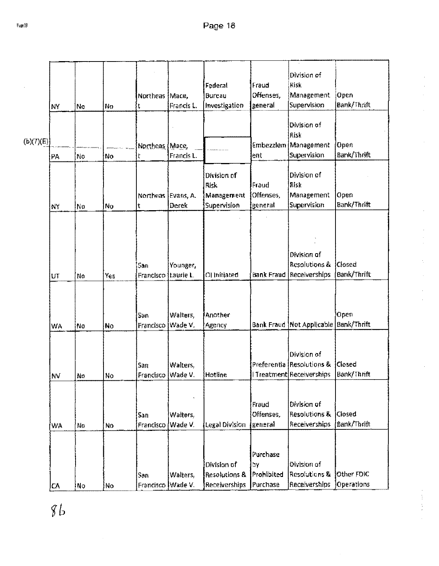|           |    |     |     |                    |            |                                |                    | Division of<br>Risk                   |               |
|-----------|----|-----|-----|--------------------|------------|--------------------------------|--------------------|---------------------------------------|---------------|
|           |    |     |     |                    |            | Federal                        | Fraud<br>Offenses, |                                       | Open          |
|           |    |     |     | <b>Northeas</b>    | Mace,      | <b>Bureau</b><br>Investigation | general            | Management<br>Supervision             | Bank/Thrift   |
|           | NY | No  | No  | t                  | Francis L. |                                |                    |                                       |               |
|           |    |     |     |                    |            |                                |                    | Division of                           |               |
|           |    |     |     |                    |            |                                |                    | Risk                                  |               |
| (b)(7)(E) |    |     |     | Northeas (Mace,    |            |                                |                    | Embezzlem Management                  | Open          |
|           | PA | No  | No  |                    | Francis L. |                                | ent                | Supervision                           | Bank/Thrift   |
|           |    |     |     |                    |            |                                |                    |                                       |               |
|           |    |     |     |                    |            | Division of                    |                    | Division of                           |               |
|           |    |     |     |                    |            | ilisk                          | Fraud              | Risk                                  |               |
|           |    |     |     | Northeas Evans, A. |            | Management                     | Offenses,          | Management                            | Open          |
|           | NY | Nα  | No  | t                  | Derek      | Supervision                    | generat            | Supervision                           | Bank/Thrift   |
|           |    |     |     |                    |            |                                |                    |                                       |               |
|           |    |     |     |                    |            |                                |                    |                                       |               |
|           |    |     |     |                    |            |                                |                    |                                       |               |
|           |    |     |     |                    |            |                                |                    |                                       |               |
|           |    |     |     |                    |            |                                |                    | Division of                           |               |
|           |    |     |     | San                | Younger,   |                                |                    | <b>Resolutions &amp;</b>              | <b>Closed</b> |
|           | UT | No  | Yes | Francisco          | taurie L.  | OI Initiated                   | <b>Bank Fraud</b>  | Receiverships                         | Bank/Thrift   |
|           |    |     |     |                    |            |                                |                    |                                       |               |
|           |    |     |     |                    |            |                                |                    |                                       |               |
|           |    |     |     |                    |            |                                |                    |                                       |               |
|           |    |     |     | San                | Walters,   | Another                        |                    |                                       | Open          |
|           | WA | No  | No  | Francisco          | Wade V.    | Адепсу                         |                    | Bank Fraud Not Applicable Bank/Thrift |               |
|           |    |     |     |                    |            |                                |                    |                                       |               |
|           |    |     |     |                    |            |                                |                    |                                       |               |
|           |    |     |     |                    |            |                                |                    | Division of                           |               |
|           |    |     |     | San                | Walters,   |                                |                    | Preferentia Resolutions &             | Closed        |
|           | NV | Nο  | No  | Francisco Wade V.  |            | Hotline                        |                    | I Treatment Receiverships             | Bank/Thrift   |
|           |    |     |     |                    |            |                                |                    |                                       |               |
|           |    |     |     |                    |            |                                | Fraud              | Division of                           |               |
|           |    |     |     | San                | Walters,   |                                | Offenses.          | <b>Resolutions &amp;</b>              | Closed        |
|           |    |     |     | Francisco          | Wade V.    | Legal Division                 | general            | <b>Receiverships</b>                  | Bank/Thrift   |
|           | WÂ | No  | No. |                    |            |                                |                    |                                       |               |
|           |    |     |     |                    |            |                                |                    |                                       |               |
|           |    |     |     |                    |            |                                | Purchase           |                                       |               |
|           |    |     |     |                    |            | Division of                    | hγ                 | Division of                           |               |
|           |    |     |     | San                | Walters,   | Resolutions &                  | Prohibited         | Resolutions &                         | Other FOIC    |
|           | CA | ∲No | No  | Francisco Wade V.  |            | Receiverships                  | Purchase           | <b>Receiverships</b>                  | Operations    |
|           |    |     |     |                    |            |                                |                    |                                       |               |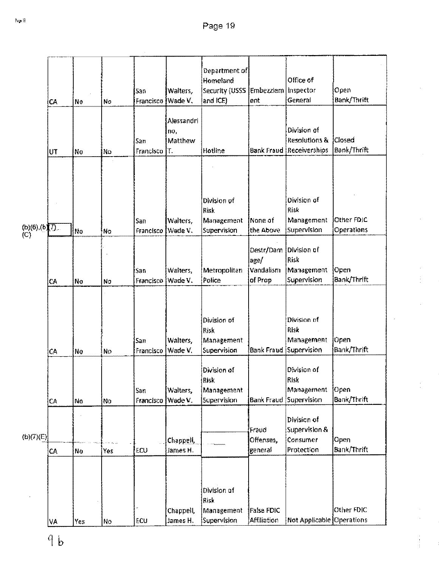| СA            |    | No                                             | San<br>Francisco            | Walters,                                   | Homeland<br>and ICE)                     |                                                                                                            | Office of<br>General                                                                                                                              | Open<br>Bank/Thrift                                                                                                                                                                                                      |
|---------------|----|------------------------------------------------|-----------------------------|--------------------------------------------|------------------------------------------|------------------------------------------------------------------------------------------------------------|---------------------------------------------------------------------------------------------------------------------------------------------------|--------------------------------------------------------------------------------------------------------------------------------------------------------------------------------------------------------------------------|
| UT            |    |                                                | San<br>Francisco            | <b>Alessandri</b><br>no,<br>Matthew<br>ΪT. |                                          |                                                                                                            | Division of<br>Resolutions &                                                                                                                      | Closed<br>Bank/Thrift                                                                                                                                                                                                    |
| (b)(6),(b)(7) |    |                                                | San<br>Francisco            | Walters,<br>Wade V.                        | Division of<br>Risk<br>Management        |                                                                                                            | Division of<br>Risk<br>Management<br>Supervision                                                                                                  | Other FDIC<br>Operations                                                                                                                                                                                                 |
| СA            |    |                                                | San<br>Francisco            | Walters,<br>Wade V.                        | Police                                   |                                                                                                            | Division of<br>Risk<br>Management<br>Supervision                                                                                                  | Open<br>Bank/Thrift                                                                                                                                                                                                      |
| CΑ            |    | No                                             | San<br>Francisco            | Walters,<br>Wade V.                        | Division of<br>Supervision               |                                                                                                            | Division of<br>Risk<br>Management                                                                                                                 | Open<br>Bank/Thrift                                                                                                                                                                                                      |
| СA            |    |                                                | San<br>Francisco            | Walters,                                   | Division of<br>Management<br>Supervision |                                                                                                            | Division of<br>Risk                                                                                                                               | Open<br>Bank/Thrift                                                                                                                                                                                                      |
| CA            |    | Yes                                            | ECU                         | Chappell,<br>James H.                      |                                          |                                                                                                            | Consumer<br>Protection                                                                                                                            | Open<br>Bank/Thrift                                                                                                                                                                                                      |
|               |    |                                                |                             | Chappell,                                  | Division of                              |                                                                                                            |                                                                                                                                                   | Other FDIC                                                                                                                                                                                                               |
|               | ٧Α | No<br>No<br>İNo<br>No<br>No<br>No<br>No<br>Yes | No)<br>Nο<br>No<br>No<br>Ńο | ECU                                        | Wade V.<br>Wade V.<br>James H.           | Hotline<br>Supervision<br>Metropolitan<br>Risk<br>Management<br> Risk<br>Risk<br>Management<br>Supervision | Department of<br>ent<br>None of<br>the Above<br>age/<br><b>Vandalism</b><br>of Prop<br>Fraud<br>Offenses,<br>general<br>False FDIC<br>Affiliation | Security (USSS Embezziem Inspector<br><b>Bank Fraud Receiverships</b><br>Destr/Dam<br><b>Bank Fraud Supervision</b><br>Management<br>Bank Fraud Supervision<br>Division of<br>Supervision &<br>Not Applicable Operations |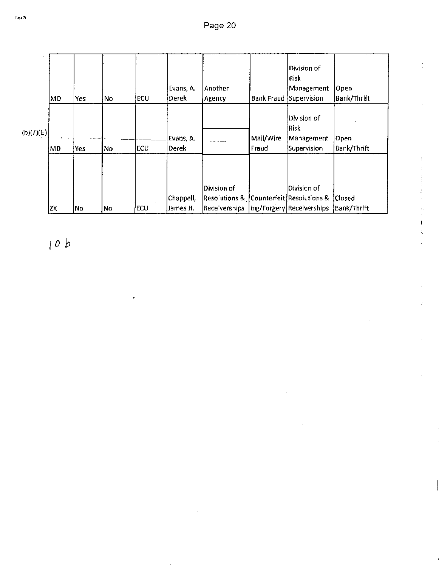|           | MD  | Yes | No | <b>ECU</b> | Evans, A.<br>Derek    | Another<br> Agency                                                                    | <b>Bank Fraud</b>  | Division of<br>Risk<br>Management<br>Supervision | Open<br>Bank/Thrift                 |
|-----------|-----|-----|----|------------|-----------------------|---------------------------------------------------------------------------------------|--------------------|--------------------------------------------------|-------------------------------------|
| (b)(7)(E) | MD) | Yes | No | <b>ECU</b> | Evans, A.<br>Derek    |                                                                                       | Mail/Wire<br>Fraud | Division of<br>Risk<br>Management<br>Supervision | Open<br>Bank/Thrift                 |
|           | ŻΧ  | No  | No | ECU        | Chappell,<br>James H. | Division of<br>$\sf Resolutions$ & $\sf JCounterfeit$ (Resolutions &<br>Receiverships |                    | Division of<br>ing/Forgery Receiverships         | <b>Closed</b><br><b>Bank/Thrift</b> |

ID *b*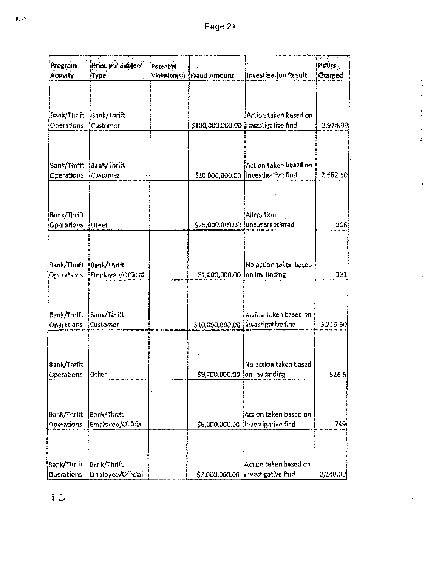| Program                          | Principal Subject                       | Potential     |                               |                                                               | $4.3 - 1$<br>Hours |
|----------------------------------|-----------------------------------------|---------------|-------------------------------|---------------------------------------------------------------|--------------------|
| <b>Activity</b>                  | Type                                    | Violation(s)) | Fraud Amount                  | Investigation Result                                          | Charged            |
| Bank/Thrift<br>Operations        | Bank/Thrift<br>Customer                 |               |                               | Action taken based on<br>\$100,000,000.00  investigative find | 3,974.00           |
| Bank/Thrift<br>Operations        | Bank/Thrift<br>Customer                 |               |                               | Action taken based on<br>\$10,000,000.00  investigative find  | 2,662.50           |
| Bank/Thrift<br>Operations        | Other                                   |               | \$25,000,000.00               | Allegation<br>unsubstantiated                                 | 116                |
| Bank/Thrift<br>Operations        | Bank/Thrift<br>Employee/Official        |               | \$1,000,000.00 on inv finding | No action taken based                                         | 131                |
| Bank/Thrift<br>Operations        | Bank/Thrift<br>Customer                 |               |                               | Action taken based on<br>\$10,000,000.00  investigative find  | 5,219.50           |
| Bank/Thrift<br>Operations        | <b>Other</b>                            |               | \$9,200,000.00 on inv finding | No action taken based                                         | 526.5              |
|                                  |                                         |               |                               |                                                               |                    |
| Bank/Thrift<br>Operations        | <b>Bank/Thrift</b><br>Employee/Official |               |                               | Action taken based on<br>\$6,000,000.00 }Investigative find   | 749                |
| Bank/Thrift<br><b>Operations</b> | Bank/Thrift<br>Employee/Official        |               |                               | Action taken based on<br>\$7,000,000.00  investigative find   | 2,240.00           |

 $\overline{C}$ 

 $\overline{a}$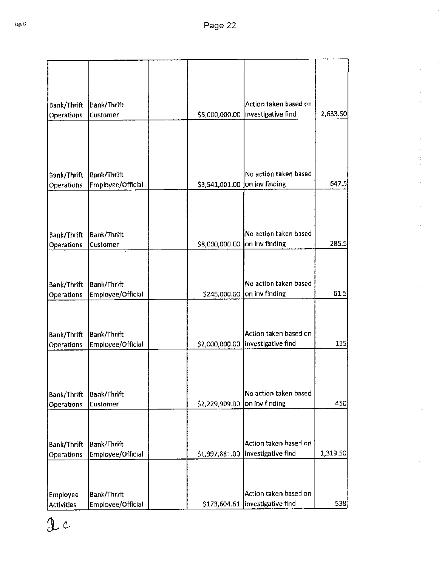| Bank/Thrift<br>Operations | <b>Bank/Thrift</b><br>Customer   | \$5,000,000.00                | Action taken based on<br>investigative find                  | 2,633.50 |
|---------------------------|----------------------------------|-------------------------------|--------------------------------------------------------------|----------|
|                           |                                  |                               |                                                              |          |
|                           |                                  |                               |                                                              |          |
| Bank/Thrift<br>Operations | Bank/Thrift<br>Employee/Official | \$3,541,001.00                | No action taken based<br>on inv finding                      | 647.5    |
|                           |                                  |                               |                                                              |          |
| Bank/Thrift               | Bank/Thrift                      |                               | No action taken based                                        |          |
| Operations                | Customer                         | \$8,000,000.00 on inv finding |                                                              | 285.5    |
|                           |                                  |                               |                                                              |          |
| Bank/Thrift               | <b>Bank/Thrift</b>               |                               | No action taken based                                        |          |
| Operations                | Employee/Official                | \$245,000.00                  | on inv finding                                               | 61.5     |
| Bank/Thrift               | Bank/Thrift<br>Employee/Official |                               | Action taken based on<br>\$2,000,000.00   investigative find | 135      |
| Operations                |                                  |                               |                                                              |          |
|                           |                                  |                               |                                                              |          |
| Bank/Thrift               | Bank/Thrift                      |                               | No action taken based                                        |          |
| Operations                | Customer                         | \$2,229,909.00                | on inv finding                                               | 450      |
|                           |                                  |                               |                                                              |          |
| Bank/Thrift               | Bank/Thrift                      |                               | Action taken based on                                        |          |
| Operations                | Employee/Official                | \$1,997,881.00                | investigative find                                           | 1,319.50 |
|                           |                                  |                               |                                                              |          |
| Employee                  | Bank/Thrift                      |                               | Action taken based on                                        |          |
| <b>Activities</b>         | Employee/Official                | \$173,604.61                  | investigative find                                           | 538      |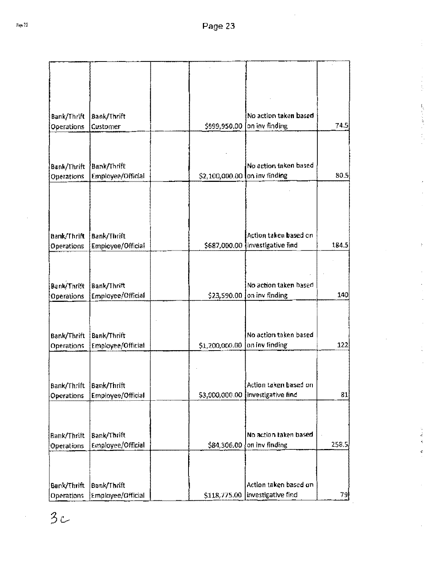ŧ,

电子反常 人名

| Bank/Thrift       | <b>Bank/Thrift</b>               |                | No action taken based              |       |
|-------------------|----------------------------------|----------------|------------------------------------|-------|
| Operations        | Customer                         | \$999,950.00   | $[$ on inv finding                 | 74.5J |
|                   |                                  |                |                                    |       |
|                   |                                  |                |                                    |       |
|                   |                                  |                | No action taken based              |       |
| Bank/Thrift       | Bank/Thrift<br>Employee/Official | \$2,100,000.00 | on inv finding                     | 80.5! |
| Operations        |                                  |                |                                    |       |
|                   |                                  |                |                                    |       |
|                   |                                  |                |                                    |       |
|                   |                                  |                |                                    |       |
|                   |                                  |                |                                    |       |
| Bank/Thrift       | Bank/Thrift                      |                | Action taken based on              |       |
| <b>Operations</b> | Employee/Official                |                | \$687,000.00  investigative find   | 184.5 |
|                   |                                  |                |                                    |       |
|                   |                                  |                |                                    |       |
|                   |                                  |                |                                    |       |
| Bank/Thrift       | Bank/Thrift                      |                | No action taken based              |       |
| Operations        | Employee/Official                | \$23,590.00    | on inv finding                     | 140   |
|                   |                                  |                |                                    |       |
|                   |                                  |                |                                    |       |
|                   |                                  |                | No action taken based              |       |
| Bank/Thrift       | Bank/Thrift                      | \$1,200,000.00 | on inv finding                     | 122   |
| Operations        | <b>Employee/Official</b>         |                |                                    |       |
|                   |                                  |                |                                    |       |
|                   |                                  |                |                                    |       |
| Bank/Thrift       | Bank/Thrift                      |                | Action taken based on              |       |
| Operations        | Employee/Official                |                | \$3,000,000.00  Investigative find | 81    |
|                   |                                  |                |                                    |       |
|                   |                                  |                |                                    |       |
|                   |                                  |                |                                    |       |
| Bank/Thrift       | Bank/Thrift                      |                | No action taken based              |       |
| Operations        | Employee/Official                | \$84,306.00    | on inv finding                     | 258.5 |
|                   |                                  |                |                                    |       |
|                   |                                  |                |                                    |       |
|                   |                                  |                |                                    |       |
| Bank/Thrift       | Bank/Thrift                      |                | Action taken based on              |       |
| Operations        | Employee/Official                |                | \$118,775.00   investigative find  | 꼥.    |

 $3c$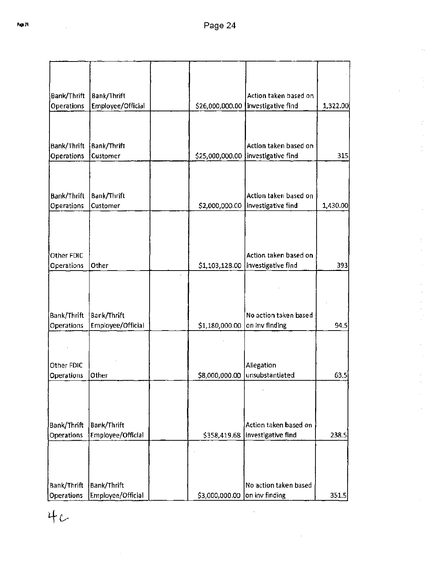|                                  |                                  |                               | Action taken based on               |          |
|----------------------------------|----------------------------------|-------------------------------|-------------------------------------|----------|
| Bank/Thrift<br><b>Operations</b> | Bank/Thrift<br>Employee/Official | \$26,000,000.00               | Investigative find                  | 1,322.00 |
|                                  |                                  |                               |                                     |          |
| Bank/Thrift                      | Bank/Thrift                      |                               | Action taken based on               |          |
| <b>Operations</b>                | <b>Customer</b>                  | \$25,000,000.00               | investigative find                  | 315      |
|                                  |                                  |                               |                                     |          |
|                                  |                                  |                               |                                     |          |
| Bank/Thrift                      | Bank/Thrift                      |                               | Action taken based on               |          |
| Operations                       | Customer                         |                               | \$2,000,000.00  investigative find  | 1,430.00 |
|                                  |                                  |                               |                                     |          |
| Other FDIC                       |                                  |                               | Action taken based on               |          |
| Operations                       | Other                            |                               | \$1,103,128.00   investigative find | 393      |
|                                  |                                  |                               |                                     |          |
|                                  |                                  |                               |                                     |          |
| Bank/Thrift                      | Bank/Thrift                      |                               | No action taken based               |          |
| Operations                       | Employee/Official                | \$1,180,000.00                | on inv finding                      | 94.5     |
|                                  |                                  |                               |                                     |          |
| Other FDIC                       |                                  |                               | Allegation                          |          |
| Operations                       | Other                            | \$8,000,000.00                | unsubstantiated                     | 63,5     |
|                                  |                                  |                               |                                     |          |
| Bank/Thrift                      | Bank/Thrift                      |                               | Action taken based on               |          |
| Operations                       | Employee/Official                |                               | \$358,419.68   investigative find   | 238.5    |
|                                  |                                  |                               |                                     |          |
|                                  |                                  |                               |                                     |          |
| Bank/Thrift                      | Bank/Thrift                      |                               | No action taken based               |          |
| <b>Operations</b>                | Employee/Official                | \$3,000,000.00 on inv finding |                                     | 351,5    |

 $4c$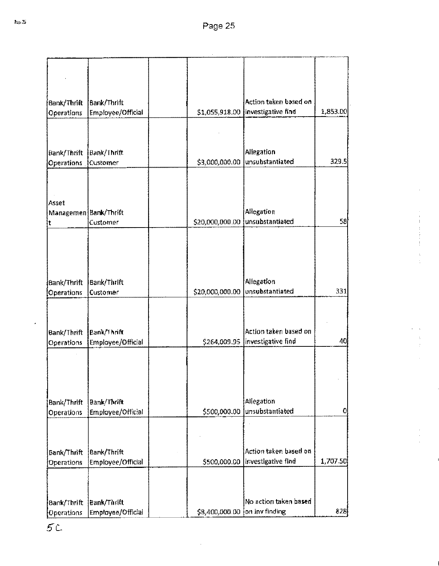~~

| Bank/Thrift             | Bank/Thrift       |                 | Action taken based on            |          |
|-------------------------|-------------------|-----------------|----------------------------------|----------|
| <b>Operations</b>       | Employee/Official | \$1,055,918.00  | investigative find               | 1,853.00 |
|                         |                   |                 |                                  |          |
| Bank/Thrift             | Bank/Thrift       |                 | Allegation                       |          |
| <b>Operations</b>       | Customer          | \$3,000,000.00  | unsubstantiated                  | 329.5    |
| Asset                   |                   |                 |                                  |          |
| Managemen   Bank/Thrift |                   |                 | Allegation                       |          |
| t                       | Customer          | \$20,000,000.00 | unsubstantiated                  | 58       |
|                         |                   |                 |                                  |          |
| Bank/Thrift             | Bank/Thrift       |                 | Allegation                       |          |
| <b>Operations</b>       | Customer          | \$20,000,000.00 | unsubstantiated                  | 331      |
| Bank/Thrift             | Bank/Thrift       |                 | Action taken based on            |          |
| <b>Operations</b>       | Employee/Official |                 | \$264,009.95  investigative find | 40       |
|                         |                   |                 |                                  |          |
| Bank/Thrlft             | Bank/Thrift       |                 | Allegation                       |          |
| Operations              | Employee/Official | \$500,000.00    | unsubstantiated                  | 0        |
|                         |                   |                 |                                  |          |
| Bank/Thrift             | Bank/Thrift       |                 | Action taken based on            |          |
| Operations              | Employee/Official | \$500,000.00    | investigative find               | 1,707.50 |
|                         |                   |                 |                                  |          |
| Bank/Thrift             | Bank/Thrift       |                 | No action taken based            |          |

l,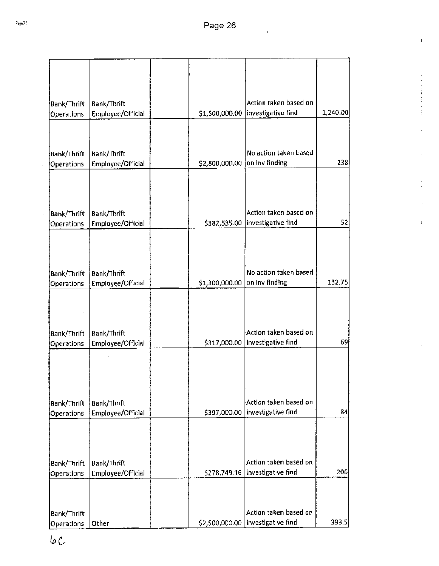$\overline{\mathbf{A}}$ 

 $\mathbf{I}$ 

| Bank/Thrift                      | <b>Bank/Thrift</b>               |                | Action taken based on                                       |          |
|----------------------------------|----------------------------------|----------------|-------------------------------------------------------------|----------|
| Operations                       | Employee/Official                | \$1,500,000.00 | investigative find                                          | 1,240.00 |
| Bank/Thrift<br>Operations        | Bank/Thrift<br>Employee/Official | \$2,800,000.00 | No action taken based<br>on Inv finding                     | 238      |
| Bank/Thrift                      | <b>Bank/Thrift</b>               |                | Action taken based on                                       |          |
| Operations                       | Employee/Official                | \$382,535.00   | investigative find                                          | 52       |
| Bank/Thrift<br>Operations        | Bank/Thrift<br>Employee/Official | \$1,300,000.00 | No action taken based<br>on inv finding                     | 132.75   |
|                                  |                                  |                |                                                             |          |
| Bank/Thrift<br><b>Operations</b> | Bank/Thrift<br>Employee/Official | \$317,000.00   | Action taken based on<br>investigative find                 | 69)      |
| Bank/Thrift<br>Operations        | Bank/Thrift<br>Employee/Official | \$397,000.00   | Action taken based on<br>investigative find                 | 84       |
| Bank/Thrift                      | Bank/Thrift                      |                | Action taken based on                                       |          |
| Operations                       | Employee/Official                | \$278,749.16   | investigative find                                          | 206      |
| Bank/Thrift<br>Operations        | Other                            |                | Action taken based on<br>\$2,500,000.00  investigative find | 393.5    |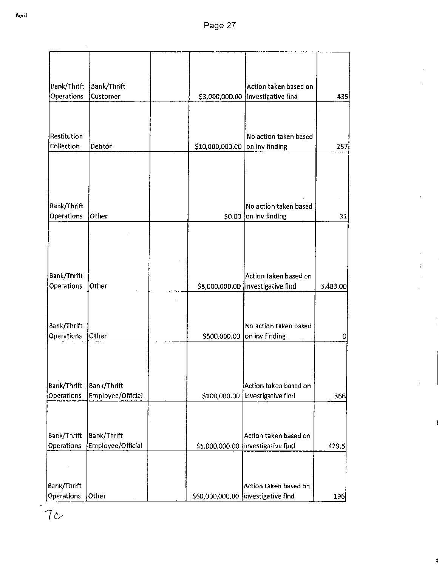| Bank/Thrift                      | Bank/Thrift                             |                 | Action taken based on                       |          |
|----------------------------------|-----------------------------------------|-----------------|---------------------------------------------|----------|
| Operations                       | Customer                                |                 | \$3,000,000.00   investigative find         | 435      |
| Restitution<br>Collection        | Debtor                                  | \$10,000,000.00 | No action taken based<br>on inv finding     | 257      |
|                                  |                                         |                 |                                             |          |
| Bank/Thrift<br>Operations        | Other                                   | \$0.00          | No action taken based<br>on inv finding     | 31       |
| Bank/Thrift                      |                                         |                 | Action taken based on                       |          |
| Operations                       | Other                                   |                 | \$8,000,000.00  investigative find          | 3,483.00 |
| Bank/Thrift<br>Operations        | Other                                   | \$500,000.00    | No action taken based<br>on inv finding     | 0        |
| Bank/Thrift                      | <b>Bank/Thrift</b>                      |                 | Action taken based on                       |          |
| Operations                       | Employee/Official                       | \$100,000.00    | Investigative find                          | 366      |
| Bank/Thrift<br><b>Operations</b> | <b>Bank/Thrift</b><br>Employee/Official | \$5,000,000.00  | Action taken based on<br>investigative find | 429.5    |
| Bank/Thrift                      |                                         |                 | Action taken based on                       |          |
| Operations                       | Other                                   |                 | \$60,000,000.00 investigative find          | 196      |

 $\overline{\mathbf{I}}$ 

 $\mathbf{I}$ 

à.

 $7c$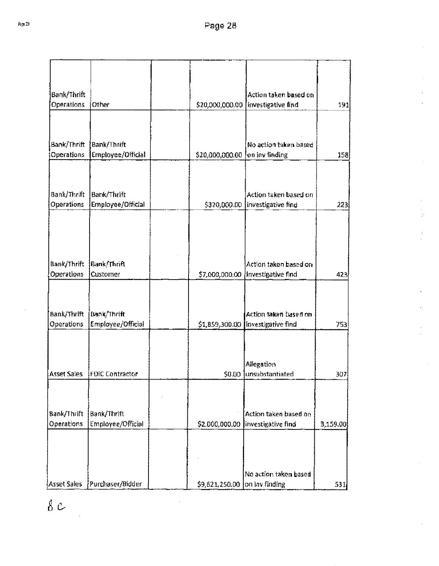| Bank/Thrift       |                                |                                | Action taken based on                 |                  |
|-------------------|--------------------------------|--------------------------------|---------------------------------------|------------------|
| Operations        | <b>Other</b>                   | \$20,000,000.00                | Investigative find                    | 191              |
|                   |                                |                                |                                       |                  |
| Bank/Thrift       | Bank/Thrift                    |                                | No action taken based                 |                  |
| <b>Operations</b> | Employee/Official              | \$20,000,000.00 on inv finding |                                       | 158              |
|                   |                                |                                |                                       |                  |
| Bank/Thrift       | Bank/Thrift                    |                                | Action taken based on                 |                  |
| Operations        | Employee/Official              |                                | \$320,000.00 linvestigative find      | 223              |
| Bank/Thrift       | Bank/Thrift                    |                                | Action taken based on                 |                  |
| Operations        | Customer                       | \$7,000,000.00                 | investigative find                    | 423              |
| Bank/Thrift       | <b>Bank/Thrift</b>             |                                | Action taken based on                 |                  |
| <b>Operations</b> | Employee/Official              | \$1,859,300.00                 | <b>Investigative find</b>             | 753              |
| Asset Sales       | <b>FDIC Contractor</b>         |                                | Allegation<br>\$0.00 Junsubstantiated | 307]             |
|                   |                                |                                |                                       |                  |
| Bank/Thrift       | <b>Bank/Thrift</b>             |                                | Action taken based on                 |                  |
| Operations        | Employee/Official              |                                | \$2,000,000.00 linvestigative find    | 3,159.00         |
|                   |                                |                                | No action taken based.                |                  |
|                   | Asset Sales   Purchaser/Bidder | $$9,621,250.00$ on lay finding |                                       | 531 <sub>i</sub> |

 $\delta$   $c$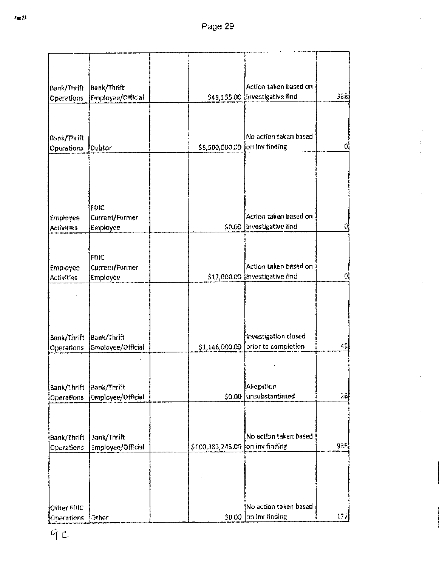... -

| Bank/Thrift<br>Operations        | Bank/Thrift<br>Employee/Official |                                  | Action taken based on<br>\$49,155.00  Investigative find | 338 |
|----------------------------------|----------------------------------|----------------------------------|----------------------------------------------------------|-----|
|                                  |                                  |                                  |                                                          |     |
| Bank/Thrift                      |                                  |                                  | No action taken based                                    |     |
| <b>Operations</b>                | Debtor                           | \$8,500,000.00 [on inv finding   |                                                          | Ωl  |
|                                  |                                  |                                  |                                                          |     |
| Employee                         | FDIC<br>Current/Former           |                                  | Action taken based on                                    |     |
| <b>Activities</b>                | Employee                         | \$0.00                           | Investigative find                                       |     |
|                                  | FDC<br>Current/Former            |                                  | Action taken based on                                    |     |
| Empioyee<br><b>Activities</b>    | Employee                         |                                  | \$17,000.00 investigative find                           | ۵l  |
|                                  |                                  |                                  |                                                          |     |
| Bank/Thrift                      | Bank/Thrift                      |                                  | Investigation closed                                     |     |
| Operations                       | Employee/Official                | \$1,146,000.00                   | prior to completion                                      | 49  |
|                                  |                                  |                                  |                                                          |     |
| Bank/Thrift<br><b>Operations</b> | Bank/Thrift<br>Employee/Official | \$0.00                           | Allegation<br>unsubstantiated                            | 26  |
|                                  |                                  |                                  |                                                          |     |
| Bank/Thrift<br><b>Operations</b> | Bank/Thrift<br>Employee/Official | \$100,383,243.00 [on inv finding | No action taken based                                    | 935 |
|                                  |                                  |                                  |                                                          |     |
|                                  |                                  |                                  |                                                          |     |
| Other FDIC                       |                                  |                                  | No action taken based                                    | 177 |
| <b>Operations</b>                | Other                            | \$0.00                           | on inv finding                                           |     |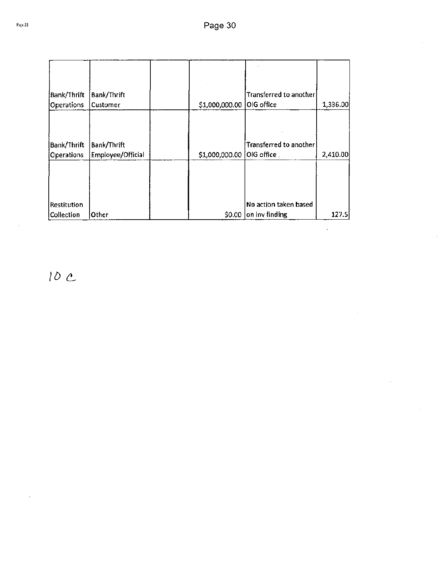| Bank/Thrift<br>Operations        | Bank/Thrift<br>Customer          | \$1,000,000.00 | Transferred to another<br>OIG office                 | 1,336.00 |
|----------------------------------|----------------------------------|----------------|------------------------------------------------------|----------|
| Bank/Thrift<br>Operations        | Bank/Thrift<br>Employee/Official | \$1,000,000.00 | Transferred to another<br>$ {\sf OIG}$ office $\Box$ | 2,410.00 |
| <b>Restitution</b><br>Collection | Other                            | \$0.00         | No action taken based<br>on inv finding              | 127.5    |

 $10 c$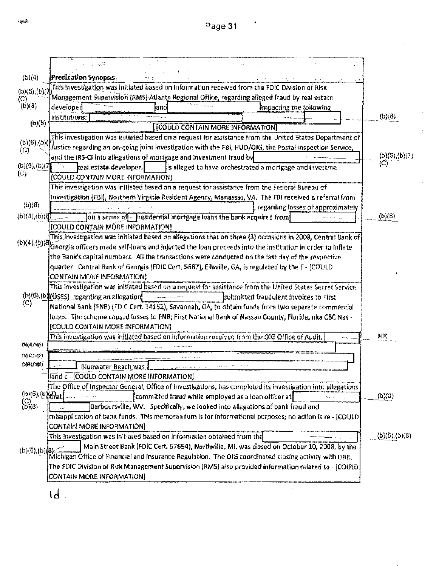$\cdot$ 

| Predication Synopsis<br>(b)(4)                                                                                                                                                                         |                      |
|--------------------------------------------------------------------------------------------------------------------------------------------------------------------------------------------------------|----------------------|
| This investigation was initiated based on information received from the FDIC Division of Risk<br>(b)(6),(b)(7)                                                                                         |                      |
| Management Supervision (RMS) Atlanta Regional Office, regarding alleged fraud by real estate<br>(C)                                                                                                    |                      |
| $(b)(\theta)$<br>developed<br>impacting the following<br>land                                                                                                                                          |                      |
| Institutions:                                                                                                                                                                                          | (b)(8)               |
| (b)(8)<br><b>COULD CONTAIN MORE INFORMATION]</b>                                                                                                                                                       |                      |
| This investigation was initiated based on a request for assistance from the United States Department of<br>(b)(6),(b)(3)                                                                               |                      |
| fustice regarding an on-going joint investigation with the FBI, HUD/OKI, the Postal Inspection Service,<br>(C)                                                                                         |                      |
| and the IRS-CI into allegations of mortgage and investment fraud by                                                                                                                                    | (b)(6),(b)(7)<br>(C) |
| (b)(6)(b)(7)<br>real estate developer.<br>is alleged to have orchestrated a mortgage and investme -<br>$\left\{ \mathrm{C}\right\}$                                                                    |                      |
| [COULD CONTAIN MORE INFORMATION]                                                                                                                                                                       |                      |
| This investigation was initiated based on a request for assistance from the Federal Bureau of                                                                                                          |                      |
| Investigation (FBI), Northern Virginia Resident Agency, Manassas, VA. The FBI received a referral from<br>(b)(8)                                                                                       |                      |
| regarding losses of approximately                                                                                                                                                                      |                      |
| (b)(4),(b)(4)<br>on a series of residential mortgage foans the bank acquired from                                                                                                                      | (b)(8)               |
| [COULD CONTAIN MORE INFORMATION]                                                                                                                                                                       |                      |
| This investigation was initiated based on allegations that on three (3) occasions in 2008, Central Bank of<br>$(b)(4)$ , $(b)(8)$                                                                      |                      |
| Georgia officers made self-ioans and injected the loan proceeds into the institution in order to inflate                                                                                               |                      |
| the Bank's capital numbers. All the transactions were conducted on the last day of the respective<br>quarter. Central Bank of Georgia (FDIC Cert. S687), Ellaville, GA, is regulated by the F - [COULD |                      |
| <b>CONTAIN MORE INFORMATION)</b>                                                                                                                                                                       |                      |
| This investigation was initiated based on a request for assistance from the United States Secret Service                                                                                               |                      |
| (b)(6).(b)(USSS) regarding an allegation)<br>submitted fraudulent involces to First                                                                                                                    |                      |
| $\langle C \rangle$<br>National Bank (FNB) (FDIC Cert. 34152), Savannah, GA, to obtain funds from two separate commercial                                                                              |                      |
| loans. The scheme caused insses to FNB; First National Bank of Nassau County, Florida, nka CBC Nat -                                                                                                   |                      |
| [COULD CONTAIN MORE INFORMATION]                                                                                                                                                                       |                      |
| This investigation was initiated based on information received from the OIG Office of Audit.                                                                                                           | (0)(3)               |
| (M4,0)                                                                                                                                                                                                 |                      |
| (0)(4), 0)(4)                                                                                                                                                                                          |                      |
| (1, 1, 0, 0, 0)<br>Bluewater Beach was a                                                                                                                                                               |                      |
| land c - [COULD CONTAIN MORE INFORMATION]                                                                                                                                                              |                      |
| The Office of Inspector General, Office of Investigations, has completed its investigation into allegations                                                                                            |                      |
| $(b)(6)$ , $(b)$ $_{\text{M}}$<br>committed fraud while employed as a loan officer at                                                                                                                  | (b)(0)               |
| $\binom{C}{D(8)}$<br>Barboursville, WV. Specifically, we looked into allegations of bank fraud and                                                                                                     |                      |
| misapplication of bank funds. This memorandum is for informational purposes; no action is re - [COULD                                                                                                  |                      |
| <b>CONTAIN MORE INFORMATION]</b>                                                                                                                                                                       |                      |
| This investigation was initiated based on information obtained from the                                                                                                                                | (b)(5) (b)(8)        |
| Main Street Bank (FDIC Cert. 57654), Northville, MI, was closed on October 10, 2008, by the<br>(b)(5)(b)(6)                                                                                            |                      |
| Michigan Office of Financial and Insurance Regulation. The OIG coordinated closing activity with ORR.                                                                                                  |                      |
| (The FDIC Oivision of Risk Management Supervision (RMS) also provided information related to - [COULD]                                                                                                 |                      |
| <b>CONTAIN MORE INFORMATION]</b>                                                                                                                                                                       |                      |

Ť

 $\mathbf{d}$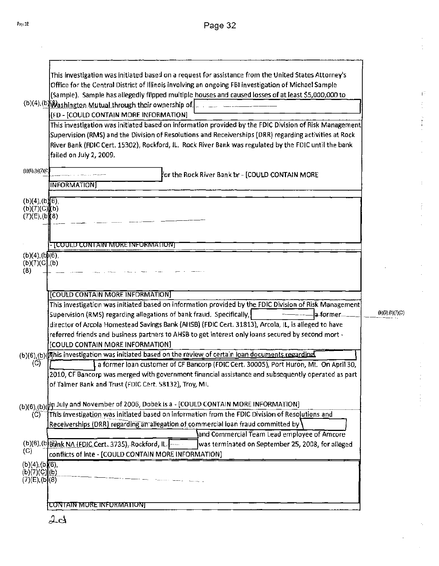$\hat{\Gamma}^{\frac{1}{2}}$ 

|                                   | This investigation was initiated based on a request for assistance from the United States Attorney's                                                                                               |                  |
|-----------------------------------|----------------------------------------------------------------------------------------------------------------------------------------------------------------------------------------------------|------------------|
|                                   | Office for the Central District of Illinois involving an ongoing FBI investigation of Michael Sample                                                                                               |                  |
|                                   | (Sample). Sample has allegedly flipped multiple houses and caused losses of at least \$5,000,000 to                                                                                                |                  |
|                                   | (b)(4), (b)(a) ashington Mutual through their ownership of $\left  \ldots \right $                                                                                                                 |                  |
|                                   | (FD - [COULD CONTAIN MORE INFORMATION]                                                                                                                                                             |                  |
|                                   | This investigation was initiated based on information provided by the FDIC Division of Risk Management                                                                                             |                  |
|                                   | Supervision (RMS) and the Division of Resolutions and Receiverships (DRR) regarding activities at Rock                                                                                             |                  |
|                                   | River Bank (FDIC Cert. 15302), Rockford, IL. Rock River Bank was regulated by the FDIC until the bank                                                                                              |                  |
|                                   | failed on July 2, 2009.                                                                                                                                                                            |                  |
|                                   |                                                                                                                                                                                                    |                  |
| (b)(6),(b)(7)(C)                  | for the Rock River Bank br - [COULD CONTAIN MORE                                                                                                                                                   |                  |
|                                   | <b>INFORMATION</b>                                                                                                                                                                                 |                  |
| (b)(4), (b)(6),                   |                                                                                                                                                                                                    |                  |
| (b)(7)(C)(b)                      |                                                                                                                                                                                                    |                  |
| $(7)(E)$ , $(b)(8)$               |                                                                                                                                                                                                    |                  |
|                                   |                                                                                                                                                                                                    |                  |
|                                   |                                                                                                                                                                                                    |                  |
|                                   | - [COULD CONTAIN MORE INFORMATION]                                                                                                                                                                 |                  |
| (b)(4), (b)(6),<br>(b)(7)(C), (b) |                                                                                                                                                                                                    |                  |
| (8)                               |                                                                                                                                                                                                    |                  |
|                                   |                                                                                                                                                                                                    |                  |
|                                   | [COULD CONTAIN MORE INFORMATION]                                                                                                                                                                   |                  |
|                                   | This investigation was initiated based on information provided by the FDIC Division of Risk Management                                                                                             |                  |
|                                   | Supervision (RMS) regarding allegations of bank fraud. Specifically,<br>a-former.                                                                                                                  | (b)(6),(b)(7)(C) |
|                                   | director of Arcola Homestead Savings Bank (AHSB) (FDIC Cert. 31813), Arcola, IL, is alleged to have                                                                                                |                  |
|                                   | referred friends and business partners to AHSB to get interest only loans secured by second mort -                                                                                                 |                  |
|                                   | [COULD CONTAIN MORE INFORMATION]                                                                                                                                                                   |                  |
|                                   | (b)(6),(b)(mhis investigation was initiated based on the review of certain loan documents regarding                                                                                                |                  |
| (C)                               | a former loan customer of CF Bancorp (FDIC Cert. 30005), Port Huron, MI. On April 30,                                                                                                              |                  |
|                                   | 2010, CF Bancorp was merged with government financial assistance and subsequently operated as part                                                                                                 |                  |
|                                   | of Talmer Bank and Trust (FDIC Cert. 58132), Troy, MI.                                                                                                                                             |                  |
|                                   |                                                                                                                                                                                                    |                  |
|                                   | (b)(6),(b)( $\sharp$ n July and November of 2006, Dobek is a - [COULD CONTAIN MORE INFORMATION]<br>This investigation was initiated based on information from the FDIC Division of Resolutions and |                  |
| (C)                               | Receiverships (DRR) regarding an allegation of commercial loan fraud committed by                                                                                                                  |                  |
|                                   | and Commercial Team Lead employee of Amcore                                                                                                                                                        |                  |
|                                   | (b)(6),(b)(b)nk NA (FDJC Cert. 3735), Rockford, IL.<br>was terminated on September 25, 2008, for alleged                                                                                           |                  |
| (C)                               | conflicts of inte - [COULD CONTAIN MORE INFORMATION]                                                                                                                                               |                  |
| (b)(4), (b)(6),                   |                                                                                                                                                                                                    |                  |
| (b)(7)(C)[(b)]                    |                                                                                                                                                                                                    |                  |
| (7)(E), (b)(8)                    |                                                                                                                                                                                                    |                  |
|                                   |                                                                                                                                                                                                    |                  |
|                                   | CONTAIN MORE INFORMATIONJ                                                                                                                                                                          |                  |
|                                   |                                                                                                                                                                                                    |                  |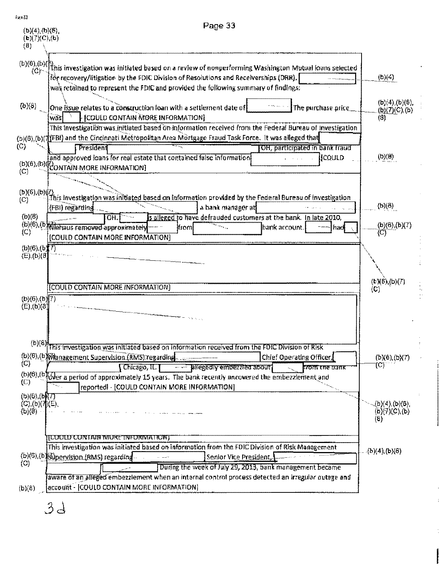|                                                                  | Page 33                                                                                                                                                                                                                                                                                                           |                                                      |
|------------------------------------------------------------------|-------------------------------------------------------------------------------------------------------------------------------------------------------------------------------------------------------------------------------------------------------------------------------------------------------------------|------------------------------------------------------|
| (b)(4)(b)(5)<br>(b)(7)(C),(b)<br>$\{0\}$                         |                                                                                                                                                                                                                                                                                                                   |                                                      |
|                                                                  | (b)(6),(b)(f), (b)(f), investigation was initiated based on a review of nonperforming Washington Mutual loans selected<br>for recovery/litigation by the FDIC Division of Resolutions and Receiverships (DRR).<br>was retained to represent the FDIC and provided the following summary of findings?              | (b)(4)                                               |
| (b)(8)                                                           | One issue relates to a construction loan with a settlement date of<br>The purchase price<br><b>[COULD CONTAIN MORE INFORMATION]</b><br>was <br>This investigation was initiated based on information received from the Federal Bureau of Investigation                                                            | (b)(4),(b)(6)<br>( <u>b){7)</u> (C),(b)<br>(3)       |
| (C)                                                              | (b)(6),(b)(7)(FBI) and the Cincinnati Metropolitan Area Mortgage Fraud Task Force. It was alleged that<br>President<br>OH, participated in bank fraud<br>and approved loans for real estate that contained false information<br>iicould                                                                           | (b)(B)                                               |
| (C)<br>$(b)(6)$ (b)(t)                                           | (b)(6),(b)(RONTAIN MORE INFORMATION)                                                                                                                                                                                                                                                                              |                                                      |
| $\circled{c}$<br>(b)(b)                                          | This investigation was initiated based on information provided by the Federal Bureau of investigation<br>a bank manager at<br>(FBI) regarding<br>s alleged to have defrauded customers at the bank. In late 2010,                                                                                                 | (b)(8)                                               |
| (C)                                                              | OH.<br>(b)(6), (b) Mahaus removed approximately<br>(bank account.<br><b>Ifrom</b><br>hadl<br>[COULD CONTAIN MORE INFORMATION]                                                                                                                                                                                     | (b)(8),(b)(7)<br>(Ĉ)                                 |
| (b)(6), (bT)<br>$(E), (b)(\theta)$                               |                                                                                                                                                                                                                                                                                                                   |                                                      |
| (b)(6),(b)[7)<br>$(E)$ , (b) $(8)$                               | [COULD CONTAIN MORE INFORMATION]                                                                                                                                                                                                                                                                                  | $(b)(6)(b)(7)$<br>$(c)$                              |
|                                                                  | (b)(8) This investigation was initiated based on information received from the FOIC Division of Risk                                                                                                                                                                                                              |                                                      |
| $\langle C \rangle$<br>$\langle C \rangle$<br>$(b)(6)$ (b) $(7)$ | (b)(6),(b) Wanagement Supervision (RMS) regarding<br>Chief Operating Officer,<br>- allegedly empezzied about<br>$\Gamma$ Chicago, $\Pi$ .<br>from the bank<br>(b)(6), (b) Wer a period of approximately 15 years. The bank recently uncovered the embezzlement and<br>reported - [COULD CONTAIN MORE INFORMATION] | (b)(6),(b)(7)<br>TC)                                 |
| $(C), (b)(\phi)(E).$<br>(b)(8)                                   |                                                                                                                                                                                                                                                                                                                   | (b)(4),(b)(6),<br>(b)(7)(C),(b)<br>$\left( 8\right)$ |
| $\langle C \rangle$                                              | <b>JUULU UUNTAIN NIURE INFURNATION)</b><br>This investigation was initiated based on information from the FDIC Division of Risk Management<br>(b)(6),(b)(G)pervision (RMS) regarding.<br>Senior Vice President, {<br>During the week of July 29, 2013, bank management became                                     | $\{b)(4\}$ ; $\{b)(8\}$                              |
| (b)(8)                                                           | aware of an alleged embezziement when an internal control process detected an irregular outage and<br>account - [COULD CONTAIN MORE INFORMATION]                                                                                                                                                                  |                                                      |
|                                                                  | 34                                                                                                                                                                                                                                                                                                                |                                                      |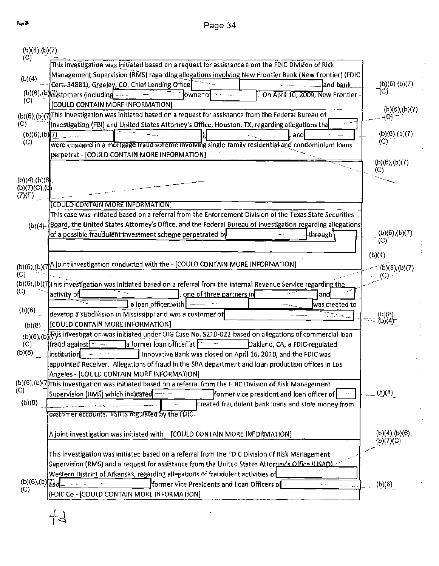$\ddot{\phantom{0}}$ 

| (b)(6),(b)(7)       |                                                                                                                                                 |                         |
|---------------------|-------------------------------------------------------------------------------------------------------------------------------------------------|-------------------------|
| (C)                 | This investigation was initiated based on a request for assistance from the FDIC Division of Risk                                               |                         |
| (b)(4)              | Management Supervision (RMS) regarding allegations involving New Frontier Bank (New Frontier) (FDIC                                             |                         |
|                     | Cert-34881), Greeley, CO, Chief Lending Office<br>and bank.                                                                                     | (b)(6),(b)(7)           |
|                     | $(b)(6)$ , $(b)(c)$ stomers (including<br>On April 10, 2009, New Frontier -<br>lowner of                                                        | (C)                     |
| (C)                 | [COULD CONTAIN MORE INFORMATION]                                                                                                                | (b)(6),(b)(7)           |
|                     | (b)(6),(b)(7)This investigation was initiated based on a request for assistance from the Federal Bureau of                                      | (C)                     |
| (C)                 | Investigation (FBI) and United States Attorney's Office, Houston, TX, regarding allegations tha                                                 |                         |
| $(b)(6)$ , $(b)(7)$ | and.                                                                                                                                            | (b)(6),(b)(7)           |
| (C)                 | were engaged in a mortgage traud scheme involving single-family residential and condominium loans                                               |                         |
|                     | perpetrat - [COULD CONTAIN MORE INFORMATION]                                                                                                    | $(b)(6)$ , $(b)(7)$     |
|                     |                                                                                                                                                 | (C)                     |
| (b)(4), (b)(6)      |                                                                                                                                                 |                         |
| $(b)(7)(C)$ , $(d)$ |                                                                                                                                                 |                         |
| (7)(E)              | COULD CONTAIN MORE INFORMATION]                                                                                                                 |                         |
|                     | This case was initiated based on a referral from the Enforcement Division of the Texas State Securities                                         |                         |
|                     | (b)(4) Board, the United States Attorney's Office, and the Federal Bureau of Investigation regarding allegations                                |                         |
|                     | of a possible fraudulent investment scheme perpetrated by<br>through                                                                            | (b)(6),(b)(7)           |
|                     |                                                                                                                                                 | (C)                     |
|                     |                                                                                                                                                 | (b)(4)                  |
|                     | (b)(6),(b)( $\pi$ A joint investigation conducted with the - [COULD CONTAIN MORE INFORMATION]                                                   | (b)(6),(b)(7)           |
| (C)                 |                                                                                                                                                 |                         |
|                     | (b)(6),(b)(7)This investigation was initiated based on a referral from the internal Revenue Service regarding the                               |                         |
| (C)                 | activity of<br>one of three partners in<br>and                                                                                                  |                         |
| (b)(8)              | a loan officer with<br>was created to                                                                                                           |                         |
|                     | develop a subdivision in Mississippi and was a customer of                                                                                      | $\frac{(b)(8)}{(b)(4)}$ |
| (b)(8)              | [COULD CONTAIN MORE INFORMATION]                                                                                                                |                         |
|                     | (b)(6),(b)(h)is investigation was initiated under OIG Case No. 5210-022 based on allegations of commercial loan                                 |                         |
| (C)<br>(b)(8)       | a former loan officer at 1<br>fraud against<br>Dakland, CA, a FDIC-regulated                                                                    |                         |
|                     | .institution ------<br>Innovative Bank was closed on April 16, 2010, and the FDIC was                                                           |                         |
|                     | appointed Receiver. Allegations of fraud in the SBA department and loan production offices in Los<br>Angeles - [COULD CONTAIN MORE INFORMATION] |                         |
|                     | (b)(6),(b)(7)This investigation was initiated based on a referral from the FDIC Division of Risk Management                                     |                         |
| (C)                 | Supervision (RMS) which indicated<br>former vice president and loan officer of                                                                  | (b)(8)                  |
| (b)(8)              | created fraudulent bank loans and stole money from                                                                                              |                         |
|                     | customer accounts. FSB is regulated by the FDIC.                                                                                                |                         |
|                     |                                                                                                                                                 |                         |
|                     | A joint investigation was initiated with - [COULD CONTAIN MORE INFORMATION]                                                                     | $(b)(4)$ , $(b)(6)$ ,   |
|                     |                                                                                                                                                 | (b)(7)(C)               |
|                     | This investigation was initiated based on a referral from the FDIC Division of Risk Management                                                  |                         |
|                     | Supervision (RMS) and a request for assistance from the United States Attorney's Office (USAO)                                                  |                         |
|                     | Western District of Arkansas, regarding allegations of fraudulent activities of                                                                 |                         |
| (b)(6), (b)<br>(C)  | former Vice Presidents and Loan Officers of                                                                                                     | (b)(8)                  |
|                     | (FDIC Ce - [COULD CONTAIN MORE INFORMATION]                                                                                                     |                         |
|                     |                                                                                                                                                 |                         |

 $\ddot{\phantom{0}}$ 

 $44$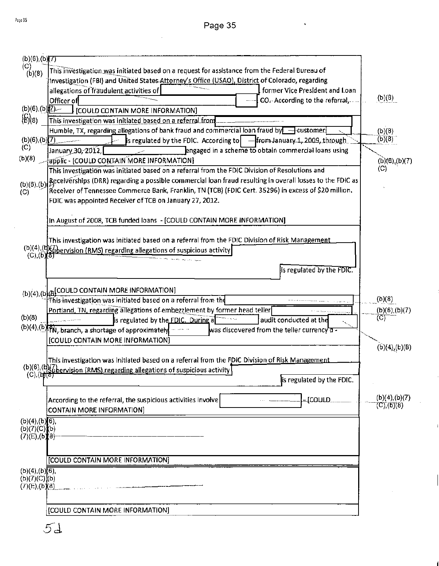t,

 $\mathbf{i}$ 

 $\overline{1}$ 

| (b)(6),(b)(7)                                 |                                                                                                                        |                                |
|-----------------------------------------------|------------------------------------------------------------------------------------------------------------------------|--------------------------------|
| (C)<br>(b)(8)                                 | This investigation was initiated based on a request for assistance from the Federal Bureau of                          |                                |
|                                               | tnvestigation (FBI) and United States Attorney's Office (USAO), District of Colorado, regarding                        |                                |
|                                               | allegations of fraudulent activities of<br>former Vice President and Loan                                              |                                |
|                                               | Officer of<br>CO. According to the referral,                                                                           | (b)(8)                         |
| $(b)(6)$ $(b)$ $(2)$                          | [COULD CONTAIN MORE INFORMATION]                                                                                       |                                |
| $\binom{G}{B}$ (8)                            | This investigation was initiated based on a referral from                                                              |                                |
|                                               | Humble, TX, regarding allegations of bank fraud and commercial loan fraud by $\overline{ }$ - eustomer                 | (b)(8)                         |
| $(b)(6)$ , $(b)(7)$<br>(C)                    | is regulated by the FDIC. According to $-$ from January 1, 2009, through                                               | (b)(8)                         |
| (b)(8)                                        | engaged in a scheme to obtain commercial loans using<br>January 30, 2012,<br>applic - [COULD CONTAIN MORE INFORMATION] |                                |
|                                               | This investigation was initiated based on a referral from the FDIC Division of Resolutions and                         | (b)(6),(b)(7)<br>(C)           |
|                                               | (b)(6),(b) Receiverships (DRR) regarding a possible commercial loan fraud resulting in overall losses to the FDIC as   |                                |
| (C)                                           | Receiver of Tennessee Commerce Bank, Franklin, TN (TCB) (FDIC Cert. 35296) in excess of \$20 million.                  |                                |
|                                               | FDIC was appointed Receiver of TCB on January 27, 2012.                                                                |                                |
|                                               |                                                                                                                        |                                |
|                                               | In August of 2008, TCB funded loans - [COULD CONTAIN MORE INFORMATION]                                                 |                                |
|                                               |                                                                                                                        |                                |
|                                               | This investigation was initiated based on a referral from the FDIC Division of Risk Management                         |                                |
| $(C), (b)$ $(b)$                              | (b)(4),(b){/bervision (RMS) regarding allegations of suspicious activity                                               |                                |
|                                               |                                                                                                                        |                                |
|                                               | Is regulated by the FDIC.                                                                                              |                                |
|                                               |                                                                                                                        |                                |
|                                               | (b)(4),(b)(B)COULD CONTAIN MORE INFORMATION]<br>This investigation was initiated based on a referral from the          | (b)(8)                         |
|                                               | Portland, TN, regarding allegations of embezzlement by former head teller                                              | (b)(6),(b)(7)                  |
| (b)(8)                                        | is regulated by the FDIC. During a<br>audit conducted at the                                                           | (C)                            |
|                                               | (b)(4),(b) FN, branch, a shortage of approximately<br>was discovered from the teller currency a -                      |                                |
|                                               | [COULD CONTAIN MORE INFORMATION]                                                                                       |                                |
|                                               |                                                                                                                        | $(b)(4)$ <sub>2</sub> $(b)(B)$ |
|                                               | This investigation was initiated based on a referral from the FDIC Division of Risk Management                         |                                |
|                                               | (b)(6),(b){7} bervision (RMS) regarding allegations of suspicious activity                                             |                                |
|                                               | is regulated by the FDIC.                                                                                              |                                |
|                                               |                                                                                                                        | (b)(4),(b)(7)                  |
|                                               | -tconrp<br>According to the referral, the suspicious activities involve<br><b>CONTAIN MORE INFORMATION]</b>            | (C), (D)(8)                    |
|                                               |                                                                                                                        |                                |
| (b)(4), (b)[6],<br>$(b)(7)(C)$ <sup>(b)</sup> |                                                                                                                        |                                |
| $(7)(E), (b)$ $(8)$                           |                                                                                                                        |                                |
|                                               |                                                                                                                        |                                |
|                                               | [COULD CONTAIN MORE INFORMATION]                                                                                       |                                |
| (b)(4), (b)(6),                               |                                                                                                                        |                                |
| (b)(7)(C)(b)                                  |                                                                                                                        |                                |
| (7)(E), (b)(8)                                |                                                                                                                        |                                |
|                                               |                                                                                                                        |                                |
|                                               | [COULD CONTAIN MORE INFORMATION]                                                                                       |                                |
|                                               | 5d                                                                                                                     |                                |
|                                               |                                                                                                                        |                                |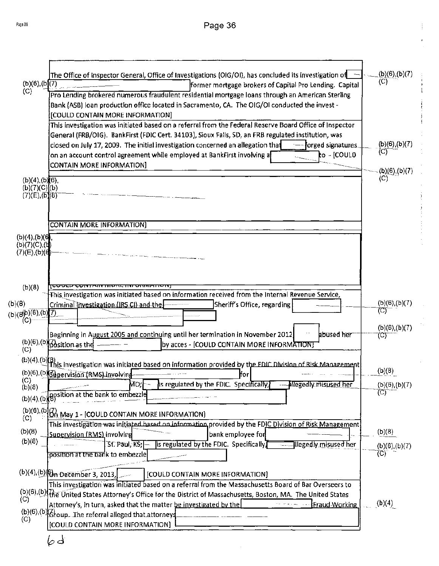$\mathfrak l$ 

 $\begin{aligned} \frac{1}{2} \left\{ \begin{array}{cc} \frac{1}{2} & \frac{1}{2} \left( \frac{1}{2} \right) & \frac{1}{2} \left( \frac{1}{2} \right) \\ \frac{1}{2} & \frac{1}{2} \left( \frac{1}{2} \right) & \frac{1}{2} \left( \frac{1}{2} \right) & \frac{1}{2} \left( \frac{1}{2} \right) \\ \frac{1}{2} & \frac{1}{2} \left( \frac{1}{2} \right) & \frac{1}{2} \left( \frac{1}{2} \right) & \frac{1}{2} \left( \frac{1}{2} \right) & \frac{1}{$ 

|                                       | The Office of inspector General, Office of Investigations (OIG/OI), has concluded its investigation of                                                                       | (b)(6),(b)(7)         |
|---------------------------------------|------------------------------------------------------------------------------------------------------------------------------------------------------------------------------|-----------------------|
| (b)(6), (b)(7)                        | former mortgage brokers of Capital Pro Lending. Capital                                                                                                                      | (C)                   |
| $\left(\circ\right)$                  | Pro Lending brokered numerous fraudulent residential mortgage loans through an American Sterling                                                                             |                       |
|                                       | Bank (ASB) loan production office located in Sacramento, CA. The OIG/OI conducted the invest -<br>[COULD CONTAIN MORE INFORMATION]                                           |                       |
|                                       | This investigation was initiated based on a referral from the Federal Reserve Board Office of Inspector                                                                      |                       |
|                                       | General (FRB/OIG). BankFirst (FDIC Cert. 34103), Sioux Falls, SD, an FRB regulated institution, was                                                                          |                       |
|                                       | closed on July 17, 2009. The initial investigation concerned an allegation that<br>-- forged signatures.                                                                     | (b)(6), (b)(7)<br>(Ĉ) |
|                                       | on an account control agreement while employed at BankFirst involving a<br>to - [COULD]<br>CONTAIN MORE INFORMATION]                                                         |                       |
|                                       |                                                                                                                                                                              | (b)(6),(b)(7)<br>(C)  |
| (b)(4), (b)(6),<br>(b)(7)(C)[(b)      |                                                                                                                                                                              |                       |
| (7)(E), (b)(8)                        |                                                                                                                                                                              |                       |
|                                       |                                                                                                                                                                              |                       |
|                                       | <b>CONTAIN MORE INFORMATION)</b>                                                                                                                                             |                       |
| $(b)(4)$ , $(b)(6)$                   |                                                                                                                                                                              |                       |
| (b)(7)(C),(t<br>(7)(E),(b){ <b>{}</b> |                                                                                                                                                                              |                       |
|                                       |                                                                                                                                                                              |                       |
|                                       |                                                                                                                                                                              |                       |
| (b)(8)                                | This investigation was initiated based on information received from the Internal Revenue Service,                                                                            |                       |
| (b)(8)                                | Criminal Investigation (IRS CI) and the<br>Sheriff's Office, regarding                                                                                                       | (b)(6), (b)(7)        |
| (b)(8b)(6), (b)<br>(C)                | Z)                                                                                                                                                                           | (C)                   |
|                                       |                                                                                                                                                                              | (b)(6),(b)(7)         |
|                                       | Beginning in August 2005 and continuing until her termination in November 2012<br>abused her<br>$(b)(6), (b)$ position as the<br>by acces - [COULD CONTAIN MORE INFORMATION] | (C)                   |
| (C)                                   |                                                                                                                                                                              |                       |
|                                       | (b)(4),(b)(3)<br>This investigation was initiated based on information provided by the FDIC Division of Risk Management                                                      | (b)(8)                |
| (C)<br>(b)(8)                         | (b)(6),(b)(s) pervision (RMS) involving<br>lfor<br>Mo;  -<br>is regulated by the FDIC. Specifically,<br>--- Hegedly misused her                                              | $(b)(6)$ , $(b)(7)$   |
|                                       | (b)(4),(b)(gosition at the bank to embezzle                                                                                                                                  |                       |
|                                       |                                                                                                                                                                              |                       |
| (C)                                   | (b)(6),(b)(f), May 1 - [COULD CONTAIN MORE INFORMATION]<br>This investigation was initiated based on information provided by the FDIC Division of Risk Management            |                       |
| (b)(8)                                | Supervision (RMS) involving<br>bank employee for                                                                                                                             | (b)(8)                |
| (b)(8)                                | lis regulated by the FDIC. Specifically,<br>$\mathsf{S}$ f. Paul, K $\mathsf{S}$ ; $\left\vert -\right\rangle$<br><b>Example gedly misused her</b>                           | (b)(6),(b)(7)         |
|                                       | position at the bank to embezzle                                                                                                                                             | (C)                   |
|                                       | (b)(4),(b)(8) <sub>n</sub> December 3, 2013,<br>[COULD CONTAIN MORE INFORMATION]                                                                                             |                       |
|                                       | This investigation was initiated based on a referral from the Massachusetts Board of Bar Overseers to                                                                        |                       |
| (C)                                   | (b)(6),(b)(the United States Attorney's Office for the District of Massachusetts, Boston, MA. The United States                                                              |                       |
|                                       | Attorney's, in turn, asked that the matter be investigated by the<br>Fraud Working<br>(b)(6),(b) Group. The referral alleged that attorneys                                  | (b)(4)                |
| (C)                                   | [COULD CONTAIN MORE INFORMATION]                                                                                                                                             |                       |
|                                       |                                                                                                                                                                              |                       |

 $\hat{\boldsymbol{\gamma}}$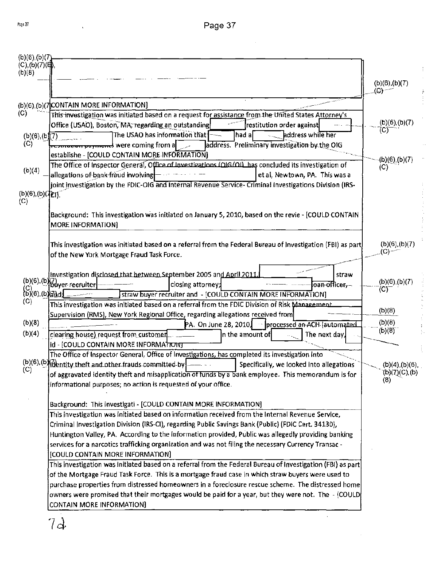$\sim$   $\sim$ 

| (b)(6),(b)(7)                                                                           |                                                                                                                                                                |                                         |
|-----------------------------------------------------------------------------------------|----------------------------------------------------------------------------------------------------------------------------------------------------------------|-----------------------------------------|
| (C), (b)(7)(H).<br>(b)(8)                                                               |                                                                                                                                                                |                                         |
|                                                                                         |                                                                                                                                                                | (b)(6),(b)(7)                           |
|                                                                                         |                                                                                                                                                                |                                         |
|                                                                                         | (b)(6),(b)(7)CONTAIN MORE INFORMATION]                                                                                                                         |                                         |
| (C)                                                                                     | This investigation was initiated based on a request for assistance from the United States Attorney's                                                           | (b)(6),(b)(7)                           |
|                                                                                         | Office (USAO), Boston, MA, regarding an outstanding<br>restitution order against<br>The USAO has information that --<br>address while her<br>lhad al           | (C)                                     |
| (b)(6),(b)(7)<br>(C)                                                                    | Service Co<br>address. Preliminary investigation by the OIG<br><del>resoration pupments</del> were coming from a <b>c</b>                                      |                                         |
|                                                                                         | establishe - [COULD CONTAIN MORE INFORMATION]                                                                                                                  |                                         |
|                                                                                         | The Office of Inspector General, Office of Investigations (OIG/OIL has concluded its investigation of                                                          | (b)(6),(b)(7)<br>(C)                    |
| (b)(4)                                                                                  | allegations of bank fraud involving<br>et al, Newtown, PA. This was a                                                                                          |                                         |
|                                                                                         | joint investigation by the FDIC-OIG and Internal Revenue Service- Criminal Investigations Division (IRS-                                                       |                                         |
| (b)(6), (b)(7c)<br>$\langle C \rangle$                                                  |                                                                                                                                                                |                                         |
|                                                                                         |                                                                                                                                                                |                                         |
|                                                                                         | Background: This investigation was initiated on January 5, 2010, based on the revie - [COULD CONTAIN<br>MORE INFORMATION]                                      |                                         |
|                                                                                         |                                                                                                                                                                |                                         |
|                                                                                         | This investigation was initiated based on a referral from the Federal Bureau of Investigation (FBI) as part.                                                   | $(b)(6)$ , $(b)(7)$                     |
|                                                                                         | of the New York Mortgage Fraud Task Force.                                                                                                                     | (C)                                     |
|                                                                                         |                                                                                                                                                                |                                         |
|                                                                                         | Investigation disclosed that hetween September 2005 and April 2011.<br>straw                                                                                   | $(b)(6)$ , $(b)(7)$                     |
| $\begin{pmatrix} C \\ D \end{pmatrix}$ (6) (6) $\begin{pmatrix} 3 \\ 4 \end{pmatrix}$ d | (b)(6),(b)(7)<br>-- buyer recruiter<br>closing attorney;<br>oan-officer,--                                                                                     | (C)                                     |
| $\left( \mathrm{C} \right)$                                                             | straw buyer recruiter and - [COULD CONTAIN MORE INFORMATION]<br>This investigation was initiated based on a referral from the FDIC Division of Risk Management |                                         |
|                                                                                         | Supervision (RMS), New York Regional Office, regarding allegations received from                                                                               | (b)(8)                                  |
| (b)(8)                                                                                  | PA. On June 28, 2010, settle processed an ACH (automated                                                                                                       | (b)(8)                                  |
| (b)(4)                                                                                  | clearing house) request from customer<br>n the amount of<br>The next day,                                                                                      | (b)(8)                                  |
|                                                                                         | id - [COULD CONTAIN MORE INFORMATION]                                                                                                                          |                                         |
|                                                                                         | The Office of Inspector General, Office of Investigations, has completed its investigation into                                                                |                                         |
| (C)                                                                                     | Specifically, we looked into allegations<br>of aggravated identity theft and misapplication of funds by a bank employee. This memorandum is for                | $(b)(4)$ , $(b)(6)$ ,<br>(b)(7)(C), (b) |
|                                                                                         | informational purposes; no action is requested of your office.                                                                                                 | (8)                                     |
|                                                                                         |                                                                                                                                                                |                                         |
|                                                                                         | Background: This investigati - [COULD CONTAIN MORE INFORMATION]                                                                                                |                                         |
|                                                                                         | This investigation was initiated based on information received from the Internal Revenue Service,                                                              |                                         |
|                                                                                         | Criminal Investigation Division (IRS-CI), regarding Public Savings Bank (Public) (FDIC Cert. 34130),                                                           |                                         |
|                                                                                         | Huntington Valley, PA. According to the information provided, Public was allegedly providing banking                                                           |                                         |
|                                                                                         | services for a narcotics trafficking organization and was not filing the necessary Currency Transac -                                                          |                                         |
|                                                                                         | [COULD CONTAIN MORE INFORMATION]<br>This investigation was initiated based on a referral from the Federal Bureau of Investigation (FBI) as part                |                                         |
|                                                                                         | of the Mortgage Fraud Task Force. This is a mortgage fraud case in which straw buyers were used to                                                             |                                         |
|                                                                                         | purchase properties from distressed homeowners in a foreclosure rescue scheme. The distressed home                                                             |                                         |
|                                                                                         | owners were promised that their mortgages would be paid for a year, but they were not. The - (COULD)                                                           |                                         |
|                                                                                         | CONTAIN MORE INFORMATION]                                                                                                                                      |                                         |
|                                                                                         |                                                                                                                                                                |                                         |
|                                                                                         | 72                                                                                                                                                             |                                         |

ý,

 $\ddot{\phantom{0}}$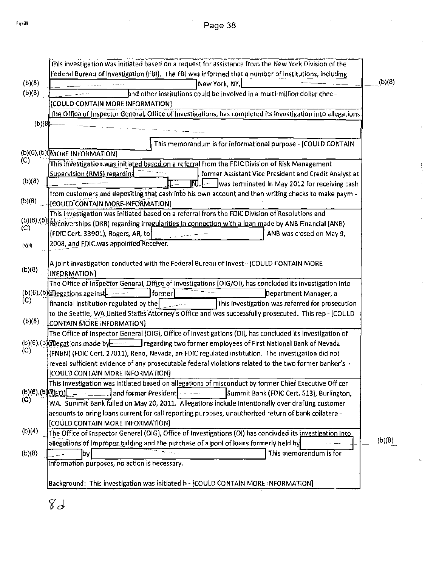|                        | This investigation was initiated based on a request for assistance from the New York Division of the                    |        |
|------------------------|-------------------------------------------------------------------------------------------------------------------------|--------|
|                        | Federal Bureau of Investigation (FBI). The FBI was informed that a number of institutions, including                    |        |
| (b)(8)                 | New York, NY,                                                                                                           | (b)(8) |
| (b)(8)                 | and other institutions could be involved in a multi-million dollar chec-                                                |        |
|                        | [COULD CONTAIN MORE INFORMATION]                                                                                        |        |
|                        | The Office of Inspector General, Office of Investigations, has completed its investigation into allegations             |        |
| (b)(8)                 |                                                                                                                         |        |
|                        |                                                                                                                         |        |
|                        | This memorandum is for informational purpose - [COULD CONTAIN                                                           |        |
|                        | (b)(6),(b)(MORE INFORMATION)                                                                                            |        |
| (C)                    | This investigation was initiated based on a referral from the FDIC Division of Risk Management                          |        |
|                        | <b>Supervision (RMS) regarding</b><br>former Assistant Vice President and Credit Analyst at                             |        |
| (b)(8)                 | was terminated in May 2012 for receiving cash<br>INJ.                                                                   |        |
|                        | from customers and depositing that cash into his own account and then writing checks to make paym -                     |        |
| (b)(8)                 | [COULD CONTAIN MORE INFORMATION]                                                                                        |        |
|                        | This investigation was initiated based on a referral from the FDIC Division of Resolutions and                          |        |
|                        | (b)(6),(b)(Receiverships (DRR) regarding irregularities in connection with a loan made by ANB Financial (ANB)           |        |
| (C)                    | [FDIC Cert, 33901), Rogers, AR, to<br>ANB was closed on May 9,                                                          |        |
| (b)(4)                 | 2008, and FDIC was appointed Receiver.                                                                                  |        |
|                        |                                                                                                                         |        |
|                        | A joint investigation conducted with the Federal Bureau of Invest - [COULD CONTAIN MORE                                 |        |
| (b)(8)                 | INFORMATION)                                                                                                            |        |
|                        | The Office of Inspector General, Office of Investigations (OIG/OI), has concluded its investigation into                |        |
|                        | $(b)(6)$ , $(b)(2)$ egations against<br>  former <br>Department Manager, a                                              |        |
| (C)                    | This investigation was referred for prosecution<br>financial institution regulated by the                               |        |
|                        | to the Seattle, WA United States Attorney's Office and was successfully prosecuted. This rep - [COULD                   |        |
| (b)(8)                 | CONTAIN MORE INFORMATION]                                                                                               |        |
|                        | The Office of Inspector General (OIG), Office of Investigations (OI), has concluded its investigation of                |        |
|                        | (b)(6),(b) $\frac{1}{2}$ egations made by $\frac{1}{2}$ regarding two former employees of First National Bank of Nevada |        |
| (C)                    | (FNBN) (FDIC Cert. 27011), Reno, Nevada, an FDIC regulated institution. The investigation did not                       |        |
|                        | reveal sufficient evidence of any prosecutable federal violations related to the two former banker's -                  |        |
|                        | [COULD CONTAIN MORE INFORMATION]                                                                                        |        |
|                        | This investigation was initiated based on allegations of misconduct by former Chief Executive Officer                   |        |
| $(b)(6)$ , $(b)(0)(c)$ | and former President<br>Summit Bank (FDIC Cert. 513), Burlington,                                                       |        |
| (C)                    | WA. Summit Bank failed on May 20, 2011. Allegations include intentionally over drafting customer                        |        |
|                        | accounts to bring loans current for call reporting purposes, unauthorized return of bank collatera -                    |        |
|                        | [COULD CONTAIN MORE INFORMATION]                                                                                        |        |
| (b)(4)                 | The Office of Inspector General (OIG), Office of Investigations (OI) has concluded its investigation into               |        |
|                        | allegations of improper bidding and the purchase of a pool of loans formerly held by                                    | (b)(8) |
| (b)(8)                 | This memorandum is for<br><b>by</b>                                                                                     |        |
|                        | information purposes, no action is necessary.                                                                           |        |
|                        |                                                                                                                         |        |
|                        | Background: This investigation was initiated b - [COULD CONTAIN MORE INFORMATION]                                       |        |
|                        |                                                                                                                         |        |

 $\mathbb{R}$ 

 $\mathcal{C}^{\dagger}$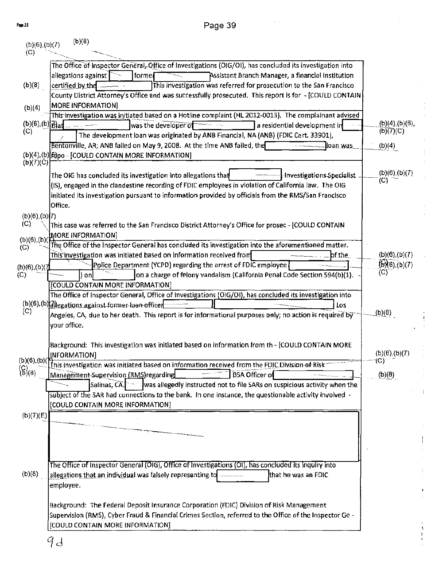Page 39

 $\bar{z} = \bar{z}$ 

| (b)(6),(b)(7)<br>(C) | (b)(8)                                                                                                                                                                                             |                         |
|----------------------|----------------------------------------------------------------------------------------------------------------------------------------------------------------------------------------------------|-------------------------|
|                      | The Office of Inspector General, Office of Investigations (OIG/OI), has concluded its investigation into                                                                                           |                         |
|                      | allegations against<br><b>torme</b><br>Assistant Branch Manager, a financial institution                                                                                                           |                         |
| (b)(8)               | certified by the<br>This investigation was referred for prosecution to the San Francisco                                                                                                           |                         |
|                      | County District Attorney's Office and was successfully prosecuted. This report is for - [COULD CONTAIN                                                                                             |                         |
| (b)(4)               | <b>MORE INFORMATION]</b><br>This investigation was initiated based on a Hotline complaint (HL 2012-0013). The complainant advised                                                                  |                         |
|                      | $(b)(6),(b))$ at $\ldots$<br>was the developer of<br>a residential development in                                                                                                                  | (b)(4),(b)(6),          |
| (C)                  | The development loan was originated by ANB Financial, NA (ANB) (FDIC Cert. 33901),                                                                                                                 | (b)(7)(C)               |
|                      | Bentonville, AR; ANB failed on May 9, 2008. At the time ANB failed, the<br>. loan <u>was</u>                                                                                                       | (b)(4)                  |
|                      | (b)(4),(b) Bpo - [COULD CONTAIN MORE INFORMATION]                                                                                                                                                  |                         |
| (b)(7)(C)            |                                                                                                                                                                                                    | (b)(6),(b)(7)           |
|                      | The OIG has concluded its investigation into allegations that<br>Investigations Specialist<br>(IS), engaged in the clandestine recording of FDIC employees in violation of California law. The OIG | (C)                     |
|                      | initiated its investigation pursuant to information provided by officials from the RMS/San Francisco                                                                                               |                         |
|                      | Office.                                                                                                                                                                                            |                         |
| (b)(6),(b)[7)        |                                                                                                                                                                                                    |                         |
| (C)                  | This case was referred to the San Francisco District Attorney's Office for prosec - [COULD CONTAIN                                                                                                 |                         |
| $(b)(6)$ , $(b)$     | MORE INFORMATION]                                                                                                                                                                                  |                         |
| (C)                  | The Office of the Inspector General has concluded its investigation into the aforementioned matter.<br>This investigation was initiated based on information received from<br>bf the               | (b)(6),(b)(7)           |
| (b)(6),(b)(7         | Police Department (YCPD) regarding the arrest of FDIC employee                                                                                                                                     | (6)(6),(6)(7)           |
| (C)                  | on a charge of felony vandalism (California Penal Code Section 594(b)(1).<br>) onl                                                                                                                 | (C)                     |
|                      | [COULD CONTAIN MORE INFORMATION]                                                                                                                                                                   |                         |
|                      | The Office of Inspector General, Office of Investigations (OIG/OI), has concluded its investigation into                                                                                           |                         |
| (C)                  | (b)(6),(b){3)egations against former loan officer<br>Los.                                                                                                                                          | (b)(8)                  |
|                      | Angeles, CA, due to her death. This report is for informational purposes only; no action is required by<br>your office.                                                                            |                         |
|                      |                                                                                                                                                                                                    |                         |
|                      | Background: This investigation was initiated based on information from th - [COULD CONTAIN MORE                                                                                                    |                         |
|                      | INFORMATION]                                                                                                                                                                                       | (b)(6),(b)(7)<br>$-(C)$ |
| $\binom{1}{6}(8)$    | (b)(6),(b)(k) with the contract of the contract of the contract of the CDIVISION of Risk                                                                                                           |                         |
|                      | Management Supervision (RMS)regarding<br><b>BSA Officer of</b><br>was allegedly instructed not to file SARs on suspicious activity when the<br>Salinas, CA.                                        | (b)(8)                  |
|                      | subject of the SAR had connections to the bank. In one instance, the questionable activity involved -                                                                                              |                         |
|                      | [COULD CONTAIN MORE INFORMATION]                                                                                                                                                                   |                         |
| (b)(7)(E)            |                                                                                                                                                                                                    |                         |
|                      |                                                                                                                                                                                                    |                         |
|                      |                                                                                                                                                                                                    |                         |
|                      |                                                                                                                                                                                                    |                         |
|                      | The Office of Inspector General (OIG), Office of Investigations (OI), has concluded its inquiry into                                                                                               |                         |
| (b)(8)               | allegations that an individual was falsely representing to -<br>that he was an FDIC                                                                                                                |                         |
|                      | employee.                                                                                                                                                                                          |                         |
|                      | Background: The Federal Deposit Insurance Corporation (FDIC) Division of Risk Management                                                                                                           |                         |
|                      | Supervision (RMS), Cyber Fraud & Financial Crimes Section, referred to the Office of the Inspector Ge -                                                                                            |                         |
|                      | [COULD CONTAIN MORE INFORMATION]                                                                                                                                                                   |                         |
|                      |                                                                                                                                                                                                    |                         |